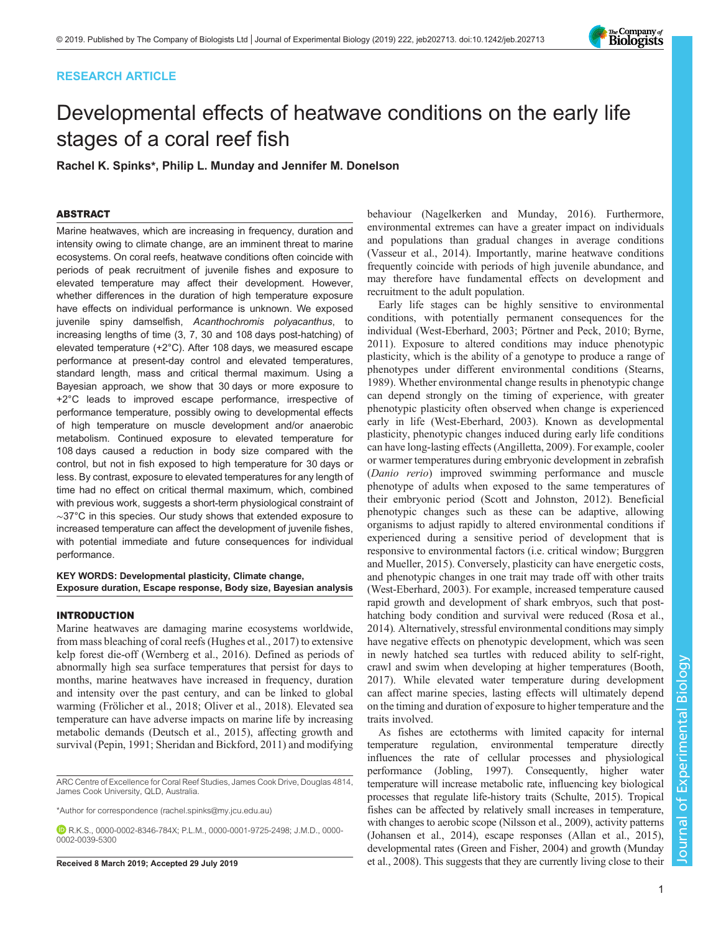# RESEARCH ARTICLE



# Developmental effects of heatwave conditions on the early life stages of a coral reef fish

Rachel K. Spinks\*, Philip L. Munday and Jennifer M. Donelson

# ABSTRACT

Marine heatwaves, which are increasing in frequency, duration and intensity owing to climate change, are an imminent threat to marine ecosystems. On coral reefs, heatwave conditions often coincide with periods of peak recruitment of juvenile fishes and exposure to elevated temperature may affect their development. However, whether differences in the duration of high temperature exposure have effects on individual performance is unknown. We exposed juvenile spiny damselfish, Acanthochromis polyacanthus, to increasing lengths of time (3, 7, 30 and 108 days post-hatching) of elevated temperature (+2°C). After 108 days, we measured escape performance at present-day control and elevated temperatures, standard length, mass and critical thermal maximum. Using a Bayesian approach, we show that 30 days or more exposure to +2°C leads to improved escape performance, irrespective of performance temperature, possibly owing to developmental effects of high temperature on muscle development and/or anaerobic metabolism. Continued exposure to elevated temperature for 108 days caused a reduction in body size compared with the control, but not in fish exposed to high temperature for 30 days or less. By contrast, exposure to elevated temperatures for any length of time had no effect on critical thermal maximum, which, combined with previous work, suggests a short-term physiological constraint of ∼37°C in this species. Our study shows that extended exposure to increased temperature can affect the development of juvenile fishes, with potential immediate and future consequences for individual performance.

## KEY WORDS: Developmental plasticity, Climate change, Exposure duration, Escape response, Body size, Bayesian analysis

## INTRODUCTION

Marine heatwaves are damaging marine ecosystems worldwide, from mass bleaching of coral reefs [\(Hughes et al., 2017\)](#page-10-0) to extensive kelp forest die-off [\(Wernberg et al., 2016\)](#page-11-0). Defined as periods of abnormally high sea surface temperatures that persist for days to months, marine heatwaves have increased in frequency, duration and intensity over the past century, and can be linked to global warming [\(Frölicher et al., 2018](#page-9-0); [Oliver et al., 2018\)](#page-10-0). Elevated sea temperature can have adverse impacts on marine life by increasing metabolic demands ([Deutsch et al., 2015\)](#page-9-0), affecting growth and survival [\(Pepin, 1991; Sheridan and Bickford, 2011](#page-10-0)) and modifying

ARC Centre of Excellence for Coral Reef Studies, James Cook Drive, Douglas 4814, James Cook University, QLD, Australia.

\*Author for correspondence [\(rachel.spinks@my.jcu.edu.au\)](mailto:rachel.spinks@my.jcu.edu.au)

R.K.S., [0000-0002-8346-784X](http://orcid.org/0000-0002-8346-784X); P.L.M., [0000-0001-9725-2498](http://orcid.org/0000-0001-9725-2498); J.M.D., [0000-](http://orcid.org/0000-0002-0039-5300) [0002-0039-5300](http://orcid.org/0000-0002-0039-5300)

behaviour [\(Nagelkerken and Munday, 2016\)](#page-10-0). Furthermore, environmental extremes can have a greater impact on individuals and populations than gradual changes in average conditions [\(Vasseur et al., 2014\)](#page-10-0). Importantly, marine heatwave conditions frequently coincide with periods of high juvenile abundance, and may therefore have fundamental effects on development and recruitment to the adult population.

Early life stages can be highly sensitive to environmental conditions, with potentially permanent consequences for the individual [\(West-Eberhard, 2003](#page-11-0); [Pörtner and Peck, 2010;](#page-10-0) [Byrne,](#page-9-0) [2011\)](#page-9-0). Exposure to altered conditions may induce phenotypic plasticity, which is the ability of a genotype to produce a range of phenotypes under different environmental conditions ([Stearns,](#page-10-0) [1989\)](#page-10-0). Whether environmental change results in phenotypic change can depend strongly on the timing of experience, with greater phenotypic plasticity often observed when change is experienced early in life [\(West-Eberhard, 2003](#page-11-0)). Known as developmental plasticity, phenotypic changes induced during early life conditions can have long-lasting effects [\(Angilletta, 2009\)](#page-9-0). For example, cooler or warmer temperatures during embryonic development in zebrafish (Danio rerio) improved swimming performance and muscle phenotype of adults when exposed to the same temperatures of their embryonic period ([Scott and Johnston, 2012\)](#page-10-0). Beneficial phenotypic changes such as these can be adaptive, allowing organisms to adjust rapidly to altered environmental conditions if experienced during a sensitive period of development that is responsive to environmental factors (i.e. critical window; [Burggren](#page-9-0) [and Mueller, 2015\)](#page-9-0). Conversely, plasticity can have energetic costs, and phenotypic changes in one trait may trade off with other traits [\(West-Eberhard, 2003](#page-11-0)). For example, increased temperature caused rapid growth and development of shark embryos, such that posthatching body condition and survival were reduced ([Rosa et al.,](#page-10-0) [2014\)](#page-10-0). Alternatively, stressful environmental conditions may simply have negative effects on phenotypic development, which was seen in newly hatched sea turtles with reduced ability to self-right, crawl and swim when developing at higher temperatures [\(Booth,](#page-9-0) [2017\)](#page-9-0). While elevated water temperature during development can affect marine species, lasting effects will ultimately depend on the timing and duration of exposure to higher temperature and the traits involved.

As fishes are ectotherms with limited capacity for internal temperature regulation, environmental temperature directly influences the rate of cellular processes and physiological performance [\(Jobling, 1997\)](#page-10-0). Consequently, higher water temperature will increase metabolic rate, influencing key biological processes that regulate life-history traits [\(Schulte, 2015\)](#page-10-0). Tropical fishes can be affected by relatively small increases in temperature, with changes to aerobic scope [\(Nilsson et al., 2009](#page-10-0)), activity patterns [\(Johansen et al., 2014](#page-10-0)), escape responses ([Allan et al., 2015\)](#page-9-0), developmental rates [\(Green and Fisher, 2004](#page-9-0)) and growth [\(Munday](#page-10-0) Received 8 March 2019; Accepted 29 July 2019 [et al., 2008\)](#page-10-0). This suggests that they are currently living close to their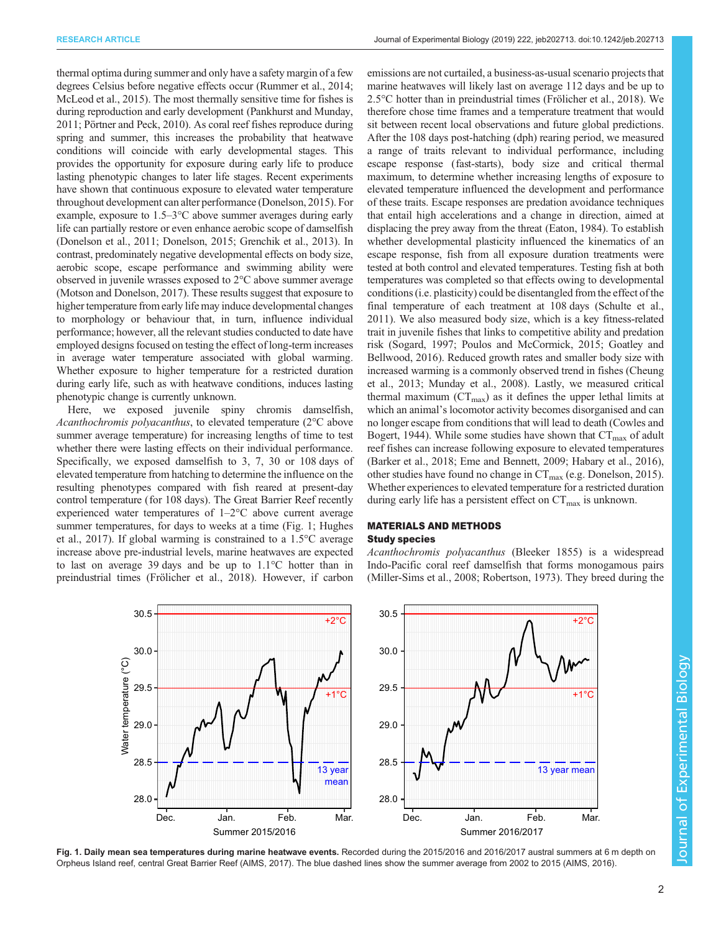thermal optima during summer and only have a safety margin of a few degrees Celsius before negative effects occur ([Rummer et al., 2014](#page-10-0); [McLeod et al., 2015\)](#page-10-0). The most thermally sensitive time for fishes is during reproduction and early development ([Pankhurst and Munday,](#page-10-0) [2011; Pörtner and Peck, 2010](#page-10-0)). As coral reef fishes reproduce during spring and summer, this increases the probability that heatwave conditions will coincide with early developmental stages. This provides the opportunity for exposure during early life to produce lasting phenotypic changes to later life stages. Recent experiments have shown that continuous exposure to elevated water temperature throughout development can alter performance [\(Donelson, 2015](#page-9-0)). For example, exposure to 1.5–3°C above summer averages during early life can partially restore or even enhance aerobic scope of damselfish [\(Donelson et al., 2011; Donelson, 2015](#page-9-0); [Grenchik et al., 2013\)](#page-9-0). In contrast, predominately negative developmental effects on body size, aerobic scope, escape performance and swimming ability were observed in juvenile wrasses exposed to 2°C above summer average [\(Motson and Donelson, 2017](#page-10-0)). These results suggest that exposure to higher temperature from early life may induce developmental changes to morphology or behaviour that, in turn, influence individual performance; however, all the relevant studies conducted to date have employed designs focused on testing the effect of long-term increases in average water temperature associated with global warming. Whether exposure to higher temperature for a restricted duration during early life, such as with heatwave conditions, induces lasting phenotypic change is currently unknown.

Here, we exposed juvenile spiny chromis damselfish, Acanthochromis polyacanthus, to elevated temperature (2°C above summer average temperature) for increasing lengths of time to test whether there were lasting effects on their individual performance. Specifically, we exposed damselfish to 3, 7, 30 or 108 days of elevated temperature from hatching to determine the influence on the resulting phenotypes compared with fish reared at present-day control temperature (for 108 days). The Great Barrier Reef recently experienced water temperatures of 1–2°C above current average summer temperatures, for days to weeks at a time (Fig. 1; [Hughes](#page-10-0) [et al., 2017\)](#page-10-0). If global warming is constrained to a 1.5°C average increase above pre-industrial levels, marine heatwaves are expected to last on average 39 days and be up to 1.1°C hotter than in preindustrial times [\(Frölicher et al., 2018\)](#page-9-0). However, if carbon

emissions are not curtailed, a business-as-usual scenario projects that marine heatwaves will likely last on average 112 days and be up to 2.5°C hotter than in preindustrial times ([Frölicher et al., 2018](#page-9-0)). We therefore chose time frames and a temperature treatment that would sit between recent local observations and future global predictions. After the 108 days post-hatching (dph) rearing period, we measured a range of traits relevant to individual performance, including escape response (fast-starts), body size and critical thermal maximum, to determine whether increasing lengths of exposure to elevated temperature influenced the development and performance of these traits. Escape responses are predation avoidance techniques that entail high accelerations and a change in direction, aimed at displacing the prey away from the threat [\(Eaton, 1984](#page-9-0)). To establish whether developmental plasticity influenced the kinematics of an escape response, fish from all exposure duration treatments were tested at both control and elevated temperatures. Testing fish at both temperatures was completed so that effects owing to developmental conditions (i.e. plasticity) could be disentangled from the effect of the final temperature of each treatment at 108 days [\(Schulte et al.,](#page-10-0) [2011\)](#page-10-0). We also measured body size, which is a key fitness-related trait in juvenile fishes that links to competitive ability and predation risk [\(Sogard, 1997](#page-10-0); [Poulos and McCormick, 2015](#page-10-0); [Goatley and](#page-9-0) [Bellwood, 2016](#page-9-0)). Reduced growth rates and smaller body size with increased warming is a commonly observed trend in fishes ([Cheung](#page-9-0) [et al., 2013](#page-9-0); [Munday et al., 2008\)](#page-10-0). Lastly, we measured critical thermal maximum ( $CT_{\text{max}}$ ) as it defines the upper lethal limits at which an animal's locomotor activity becomes disorganised and can no longer escape from conditions that will lead to death ([Cowles and](#page-9-0) [Bogert, 1944](#page-9-0)). While some studies have shown that  $CT_{\text{max}}$  of adult reef fishes can increase following exposure to elevated temperatures [\(Barker et al., 2018](#page-9-0); [Eme and Bennett, 2009](#page-9-0); [Habary et al., 2016\)](#page-10-0), other studies have found no change in  $CT_{\text{max}}$  (e.g. [Donelson, 2015\)](#page-9-0). Whether experiences to elevated temperature for a restricted duration during early life has a persistent effect on  $CT_{\text{max}}$  is unknown.

# MATERIALS AND METHODS Study species

Acanthochromis polyacanthus (Bleeker 1855) is a widespread Indo-Pacific coral reef damselfish that forms monogamous pairs [\(Miller-Sims et al., 2008; Robertson, 1973\)](#page-10-0). They breed during the



Fig. 1. Daily mean sea temperatures during marine heatwave events. Recorded during the 2015/2016 and 2016/2017 austral summers at 6 m depth on Orpheus Island reef, central Great Barrier Reef [\(AIMS, 2017](#page-9-0)). The blue dashed lines show the summer average from 2002 to 2015 ([AIMS, 2016\)](#page-9-0).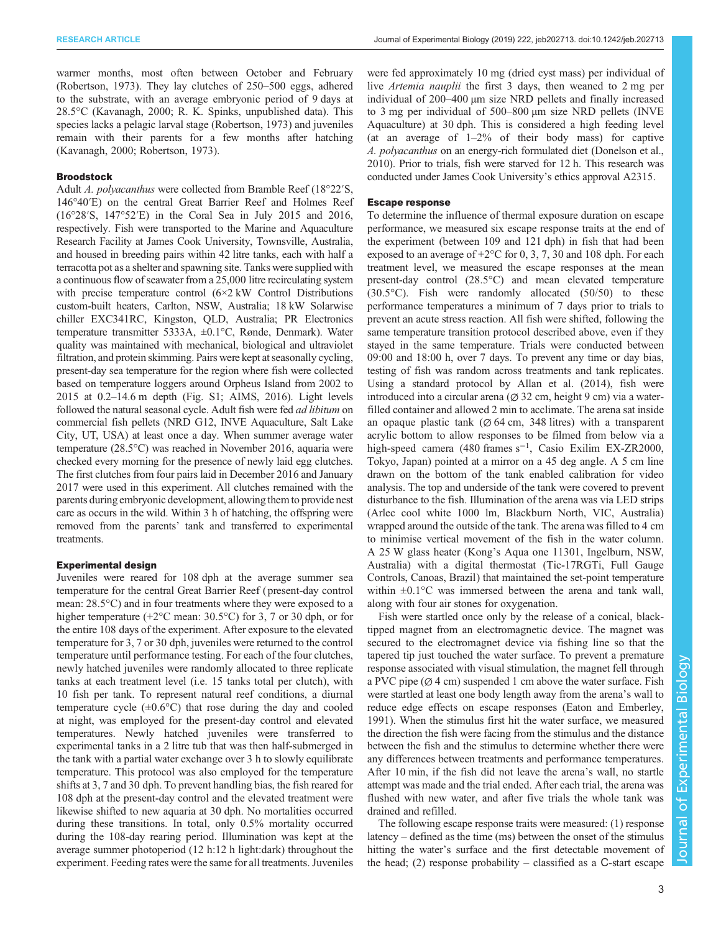warmer months, most often between October and February [\(Robertson, 1973](#page-10-0)). They lay clutches of 250–500 eggs, adhered to the substrate, with an average embryonic period of 9 days at 28.5°C ([Kavanagh, 2000;](#page-10-0) R. K. Spinks, unpublished data). This species lacks a pelagic larval stage ([Robertson, 1973\)](#page-10-0) and juveniles remain with their parents for a few months after hatching [\(Kavanagh, 2000](#page-10-0); [Robertson, 1973](#page-10-0)).

## Broodstock

Adult A. polyacanthus were collected from Bramble Reef (18°22′S, 146°40′E) on the central Great Barrier Reef and Holmes Reef (16°28′S, 147°52′E) in the Coral Sea in July 2015 and 2016, respectively. Fish were transported to the Marine and Aquaculture Research Facility at James Cook University, Townsville, Australia, and housed in breeding pairs within 42 litre tanks, each with half a terracotta pot as a shelter and spawning site. Tanks were supplied with a continuous flow of seawater from a 25,000 litre recirculating system with precise temperature control (6×2 kW Control Distributions custom-built heaters, Carlton, NSW, Australia; 18 kW Solarwise chiller EXC341RC, Kingston, QLD, Australia; PR Electronics temperature transmitter 5333A, ±0.1°C, Rønde, Denmark). Water quality was maintained with mechanical, biological and ultraviolet filtration, and protein skimming. Pairs were kept at seasonally cycling, present-day sea temperature for the region where fish were collected based on temperature loggers around Orpheus Island from 2002 to 2015 at 0.2–14.6 m depth [\(Fig. S1](http://jeb.biologists.org/lookup/doi/10.1242/jeb.202713.supplemental); [AIMS, 2016\)](#page-9-0). Light levels followed the natural seasonal cycle. Adult fish were fed *ad libitum* on commercial fish pellets (NRD G12, INVE Aquaculture, Salt Lake City, UT, USA) at least once a day. When summer average water temperature (28.5°C) was reached in November 2016, aquaria were checked every morning for the presence of newly laid egg clutches. The first clutches from four pairs laid in December 2016 and January 2017 were used in this experiment. All clutches remained with the parents during embryonic development, allowing them to provide nest care as occurs in the wild. Within 3 h of hatching, the offspring were removed from the parents' tank and transferred to experimental treatments.

## Experimental design

Juveniles were reared for 108 dph at the average summer sea temperature for the central Great Barrier Reef ( present-day control mean: 28.5°C) and in four treatments where they were exposed to a higher temperature (+2<sup>o</sup>C mean: 30.5<sup>o</sup>C) for 3, 7 or 30 dph, or for the entire 108 days of the experiment. After exposure to the elevated temperature for 3, 7 or 30 dph, juveniles were returned to the control temperature until performance testing. For each of the four clutches, newly hatched juveniles were randomly allocated to three replicate tanks at each treatment level (i.e. 15 tanks total per clutch), with 10 fish per tank. To represent natural reef conditions, a diurnal temperature cycle  $(\pm 0.6^{\circ}C)$  that rose during the day and cooled at night, was employed for the present-day control and elevated temperatures. Newly hatched juveniles were transferred to experimental tanks in a 2 litre tub that was then half-submerged in the tank with a partial water exchange over 3 h to slowly equilibrate temperature. This protocol was also employed for the temperature shifts at 3, 7 and 30 dph. To prevent handling bias, the fish reared for 108 dph at the present-day control and the elevated treatment were likewise shifted to new aquaria at 30 dph. No mortalities occurred during these transitions. In total, only 0.5% mortality occurred during the 108-day rearing period. Illumination was kept at the average summer photoperiod (12 h:12 h light:dark) throughout the experiment. Feeding rates were the same for all treatments. Juveniles

were fed approximately 10 mg (dried cyst mass) per individual of live Artemia nauplii the first 3 days, then weaned to 2 mg per individual of 200–400 µm size NRD pellets and finally increased to 3 mg per individual of 500–800 µm size NRD pellets (INVE Aquaculture) at 30 dph. This is considered a high feeding level (at an average of 1–2% of their body mass) for captive A. polyacanthus on an energy-rich formulated diet [\(Donelson et al.,](#page-9-0) [2010\)](#page-9-0). Prior to trials, fish were starved for 12 h. This research was conducted under James Cook University's ethics approval A2315.

## Escape response

To determine the influence of thermal exposure duration on escape performance, we measured six escape response traits at the end of the experiment (between 109 and 121 dph) in fish that had been exposed to an average of  $+2$ °C for 0, 3, 7, 30 and 108 dph. For each treatment level, we measured the escape responses at the mean present-day control (28.5°C) and mean elevated temperature (30.5°C). Fish were randomly allocated (50/50) to these performance temperatures a minimum of 7 days prior to trials to prevent an acute stress reaction. All fish were shifted, following the same temperature transition protocol described above, even if they stayed in the same temperature. Trials were conducted between 09:00 and 18:00 h, over 7 days. To prevent any time or day bias, testing of fish was random across treatments and tank replicates. Using a standard protocol by [Allan et al. \(2014\)](#page-9-0), fish were introduced into a circular arena  $(\emptyset$  32 cm, height 9 cm) via a waterfilled container and allowed 2 min to acclimate. The arena sat inside an opaque plastic tank ( $\varnothing$  64 cm, 348 litres) with a transparent acrylic bottom to allow responses to be filmed from below via a high-speed camera (480 frames s<sup>-1</sup>, Casio Exilim EX-ZR2000, Tokyo, Japan) pointed at a mirror on a 45 deg angle. A 5 cm line drawn on the bottom of the tank enabled calibration for video analysis. The top and underside of the tank were covered to prevent disturbance to the fish. Illumination of the arena was via LED strips (Arlec cool white 1000 lm, Blackburn North, VIC, Australia) wrapped around the outside of the tank. The arena was filled to 4 cm to minimise vertical movement of the fish in the water column. A 25 W glass heater (Kong's Aqua one 11301, Ingelburn, NSW, Australia) with a digital thermostat (Tic-17RGTi, Full Gauge Controls, Canoas, Brazil) that maintained the set-point temperature within  $\pm 0.1$ °C was immersed between the arena and tank wall, along with four air stones for oxygenation.

Fish were startled once only by the release of a conical, blacktipped magnet from an electromagnetic device. The magnet was secured to the electromagnet device via fishing line so that the tapered tip just touched the water surface. To prevent a premature response associated with visual stimulation, the magnet fell through a PVC pipe  $(\emptyset$  4 cm) suspended 1 cm above the water surface. Fish were startled at least one body length away from the arena's wall to reduce edge effects on escape responses ([Eaton and Emberley,](#page-9-0) [1991\)](#page-9-0). When the stimulus first hit the water surface, we measured the direction the fish were facing from the stimulus and the distance between the fish and the stimulus to determine whether there were any differences between treatments and performance temperatures. After 10 min, if the fish did not leave the arena's wall, no startle attempt was made and the trial ended. After each trial, the arena was flushed with new water, and after five trials the whole tank was drained and refilled.

The following escape response traits were measured: (1) response latency – defined as the time (ms) between the onset of the stimulus hitting the water's surface and the first detectable movement of the head; (2) response probability – classified as a C-start escape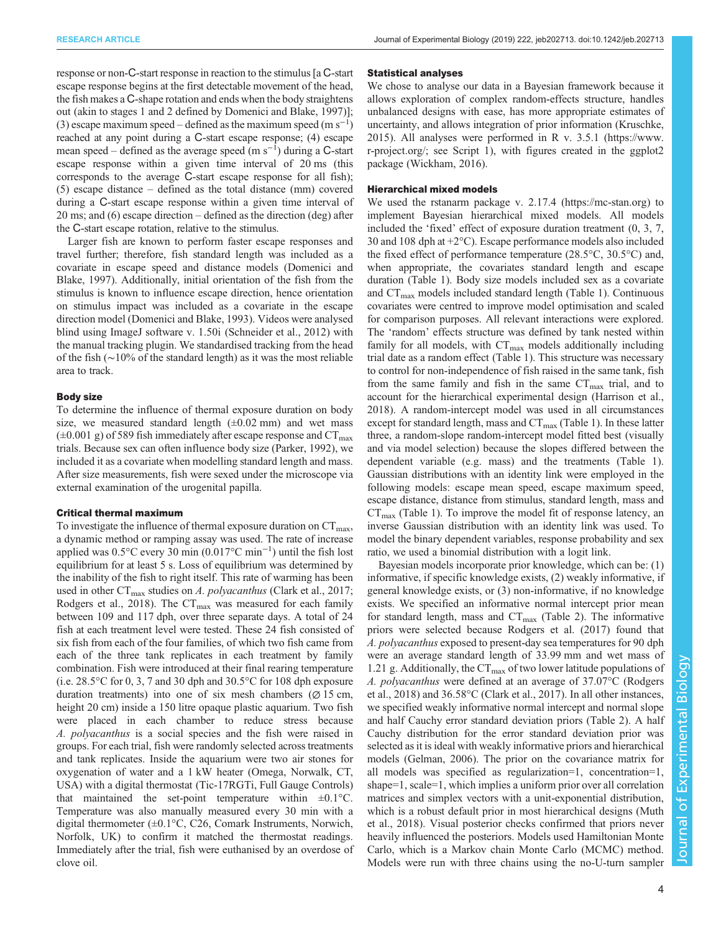response or non-C-start response in reaction to the stimulus [a C-start escape response begins at the first detectable movement of the head, the fish makes a C-shape rotation and ends when the body straightens out (akin to stages 1 and 2 defined by [Domenici and Blake, 1997](#page-9-0))]; (3) escape maximum speed – defined as the maximum speed  $(m s^{-1})$ reached at any point during a C-start escape response; (4) escape mean speed – defined as the average speed  $(m s^{-1})$  during a C-start escape response within a given time interval of 20 ms (this corresponds to the average C-start escape response for all fish); (5) escape distance – defined as the total distance (mm) covered during a C-start escape response within a given time interval of 20 ms; and (6) escape direction – defined as the direction (deg) after the C-start escape rotation, relative to the stimulus.

Larger fish are known to perform faster escape responses and travel further; therefore, fish standard length was included as a covariate in escape speed and distance models [\(Domenici and](#page-9-0) [Blake, 1997](#page-9-0)). Additionally, initial orientation of the fish from the stimulus is known to influence escape direction, hence orientation on stimulus impact was included as a covariate in the escape direction model ([Domenici and Blake, 1993](#page-9-0)). Videos were analysed blind using ImageJ software v. 1.50i [\(Schneider et al., 2012](#page-10-0)) with the manual tracking plugin. We standardised tracking from the head of the fish (∼10% of the standard length) as it was the most reliable area to track.

#### Body size

To determine the influence of thermal exposure duration on body size, we measured standard length  $(\pm 0.02 \text{ mm})$  and wet mass  $(\pm 0.001 \text{ g})$  of 589 fish immediately after escape response and  $CT_{\text{max}}$ trials. Because sex can often influence body size ([Parker, 1992\)](#page-10-0), we included it as a covariate when modelling standard length and mass. After size measurements, fish were sexed under the microscope via external examination of the urogenital papilla.

#### Critical thermal maximum

To investigate the influence of thermal exposure duration on  $CT_{\text{max}}$ , a dynamic method or ramping assay was used. The rate of increase applied was 0.5°C every 30 min (0.017°C min−<sup>1</sup> ) until the fish lost equilibrium for at least 5 s. Loss of equilibrium was determined by the inability of the fish to right itself. This rate of warming has been used in other  $CT_{\text{max}}$  studies on A. polyacanthus [\(Clark et al., 2017](#page-9-0); [Rodgers et al., 2018\)](#page-10-0). The  $CT_{\text{max}}$  was measured for each family between 109 and 117 dph, over three separate days. A total of 24 fish at each treatment level were tested. These 24 fish consisted of six fish from each of the four families, of which two fish came from each of the three tank replicates in each treatment by family combination. Fish were introduced at their final rearing temperature (i.e. 28.5°C for 0, 3, 7 and 30 dph and 30.5°C for 108 dph exposure duration treatments) into one of six mesh chambers ( $\varnothing$  15 cm, height 20 cm) inside a 150 litre opaque plastic aquarium. Two fish were placed in each chamber to reduce stress because A. polyacanthus is a social species and the fish were raised in groups. For each trial, fish were randomly selected across treatments and tank replicates. Inside the aquarium were two air stones for oxygenation of water and a 1 kW heater (Omega, Norwalk, CT, USA) with a digital thermostat (Tic-17RGTi, Full Gauge Controls) that maintained the set-point temperature within  $\pm 0.1$ °C. Temperature was also manually measured every 30 min with a digital thermometer (±0.1°C, C26, Comark Instruments, Norwich, Norfolk, UK) to confirm it matched the thermostat readings. Immediately after the trial, fish were euthanised by an overdose of clove oil.

#### Statistical analyses

We chose to analyse our data in a Bayesian framework because it allows exploration of complex random-effects structure, handles unbalanced designs with ease, has more appropriate estimates of uncertainty, and allows integration of prior information ([Kruschke,](#page-10-0) [2015\)](#page-10-0). All analyses were performed in R v. 3.5.1 [\(https://www.](https://www.r-project.org/) [r-project.org/;](https://www.r-project.org/) see [Script 1](http://jeb.biologists.org/lookup/doi/10.1242/jeb.202713.supplemental)), with figures created in the ggplot2 package [\(Wickham, 2016\)](#page-11-0).

#### Hierarchical mixed models

We used the rstanarm package v. 2.17.4 (<https://mc-stan.org>) to implement Bayesian hierarchical mixed models. All models included the 'fixed' effect of exposure duration treatment (0, 3, 7, 30 and 108 dph at +2°C). Escape performance models also included the fixed effect of performance temperature (28.5°C, 30.5°C) and, when appropriate, the covariates standard length and escape duration [\(Table 1\)](#page-4-0). Body size models included sex as a covariate and  $CT_{\text{max}}$  models included standard length ([Table 1](#page-4-0)). Continuous covariates were centred to improve model optimisation and scaled for comparison purposes. All relevant interactions were explored. The 'random' effects structure was defined by tank nested within family for all models, with  $CT_{max}$  models additionally including trial date as a random effect [\(Table 1\)](#page-4-0). This structure was necessary to control for non-independence of fish raised in the same tank, fish from the same family and fish in the same  $CT_{\text{max}}$  trial, and to account for the hierarchical experimental design ([Harrison et al.,](#page-10-0) [2018\)](#page-10-0). A random-intercept model was used in all circumstances except for standard length, mass and  $CT_{max}$  ([Table 1\)](#page-4-0). In these latter three, a random-slope random-intercept model fitted best (visually and via model selection) because the slopes differed between the dependent variable (e.g. mass) and the treatments ([Table 1\)](#page-4-0). Gaussian distributions with an identity link were employed in the following models: escape mean speed, escape maximum speed, escape distance, distance from stimulus, standard length, mass and  $CT<sub>max</sub>$  [\(Table 1\)](#page-4-0). To improve the model fit of response latency, an inverse Gaussian distribution with an identity link was used. To model the binary dependent variables, response probability and sex ratio, we used a binomial distribution with a logit link.

Bayesian models incorporate prior knowledge, which can be: (1) informative, if specific knowledge exists, (2) weakly informative, if general knowledge exists, or (3) non-informative, if no knowledge exists. We specified an informative normal intercept prior mean for standard length, mass and  $CT_{\text{max}}$  [\(Table 2\)](#page-4-0). The informative priors were selected because [Rodgers et al. \(2017\)](#page-10-0) found that A. polyacanthus exposed to present-day sea temperatures for 90 dph were an average standard length of 33.99 mm and wet mass of 1.21 g. Additionally, the  $CT_{\text{max}}$  of two lower latitude populations of A. polyacanthus were defined at an average of 37.07°C ([Rodgers](#page-10-0) [et al., 2018\)](#page-10-0) and 36.58°C ([Clark et al., 2017](#page-9-0)). In all other instances, we specified weakly informative normal intercept and normal slope and half Cauchy error standard deviation priors [\(Table 2\)](#page-4-0). A half Cauchy distribution for the error standard deviation prior was selected as it is ideal with weakly informative priors and hierarchical models [\(Gelman, 2006](#page-9-0)). The prior on the covariance matrix for all models was specified as regularization=1, concentration=1, shape=1, scale=1, which implies a uniform prior over all correlation matrices and simplex vectors with a unit-exponential distribution, which is a robust default prior in most hierarchical designs [\(Muth](#page-10-0) [et al., 2018](#page-10-0)). Visual posterior checks confirmed that priors never heavily influenced the posteriors. Models used Hamiltonian Monte Carlo, which is a Markov chain Monte Carlo (MCMC) method. Models were run with three chains using the no-U-turn sampler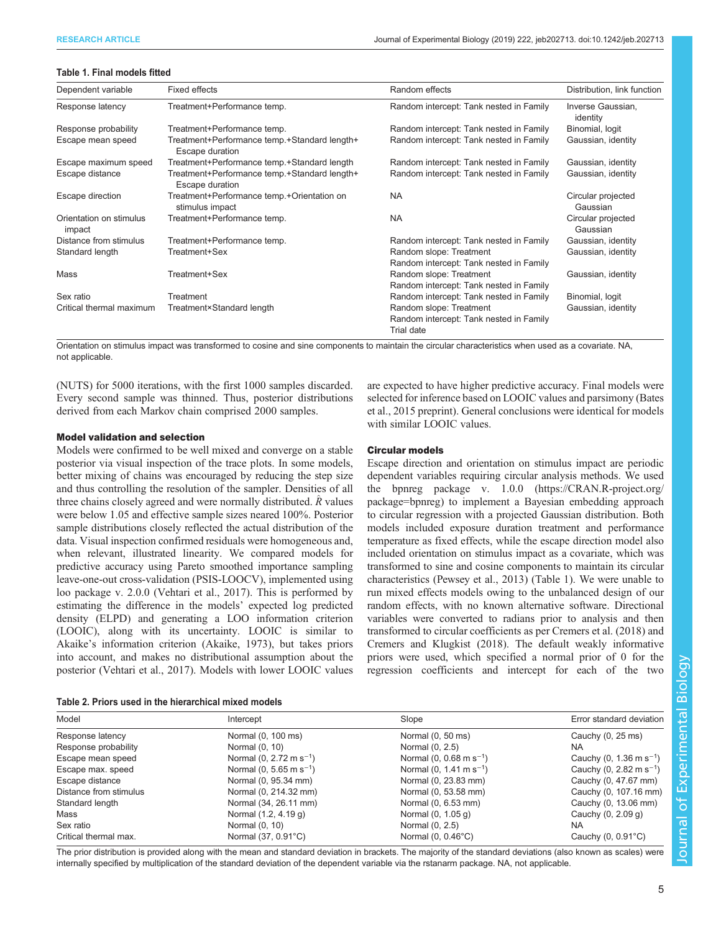#### <span id="page-4-0"></span>Table 1. Final models fitted

| Dependent variable                | Fixed effects                                                   | Random effects                                                                   | Distribution, link function    |
|-----------------------------------|-----------------------------------------------------------------|----------------------------------------------------------------------------------|--------------------------------|
| Response latency                  | Treatment+Performance temp.                                     | Random intercept: Tank nested in Family                                          | Inverse Gaussian,<br>identity  |
| Response probability              | Treatment+Performance temp.                                     | Random intercept: Tank nested in Family                                          | Binomial, logit                |
| Escape mean speed                 | Treatment+Performance temp.+Standard length+<br>Escape duration | Random intercept: Tank nested in Family                                          | Gaussian, identity             |
| Escape maximum speed              | Treatment+Performance temp.+Standard length                     | Random intercept: Tank nested in Family                                          | Gaussian, identity             |
| Escape distance                   | Treatment+Performance temp.+Standard length+<br>Escape duration | Random intercept: Tank nested in Family                                          | Gaussian, identity             |
| Escape direction                  | Treatment+Performance temp.+Orientation on<br>stimulus impact   | <b>NA</b>                                                                        | Circular projected<br>Gaussian |
| Orientation on stimulus<br>impact | Treatment+Performance temp.                                     | <b>NA</b>                                                                        | Circular projected<br>Gaussian |
| Distance from stimulus            | Treatment+Performance temp.                                     | Random intercept: Tank nested in Family                                          | Gaussian, identity             |
| Standard length                   | Treatment+Sex                                                   | Random slope: Treatment<br>Random intercept: Tank nested in Family               | Gaussian, identity             |
| Mass                              | Treatment+Sex                                                   | Random slope: Treatment<br>Random intercept: Tank nested in Family               | Gaussian, identity             |
| Sex ratio                         | Treatment                                                       | Random intercept: Tank nested in Family                                          | Binomial, logit                |
| Critical thermal maximum          | Treatment×Standard length                                       | Random slope: Treatment<br>Random intercept: Tank nested in Family<br>Trial date | Gaussian, identity             |

Orientation on stimulus impact was transformed to cosine and sine components to maintain the circular characteristics when used as a covariate. NA, not applicable.

(NUTS) for 5000 iterations, with the first 1000 samples discarded. Every second sample was thinned. Thus, posterior distributions derived from each Markov chain comprised 2000 samples.

## Model validation and selection

Models were confirmed to be well mixed and converge on a stable posterior via visual inspection of the trace plots. In some models, better mixing of chains was encouraged by reducing the step size and thus controlling the resolution of the sampler. Densities of all three chains closely agreed and were normally distributed.  $\hat{R}$  values were below 1.05 and effective sample sizes neared 100%. Posterior sample distributions closely reflected the actual distribution of the data. Visual inspection confirmed residuals were homogeneous and, when relevant, illustrated linearity. We compared models for predictive accuracy using Pareto smoothed importance sampling leave-one-out cross-validation (PSIS-LOOCV), implemented using loo package v. 2.0.0 ([Vehtari et al., 2017](#page-10-0)). This is performed by estimating the difference in the models' expected log predicted density (ELPD) and generating a LOO information criterion (LOOIC), along with its uncertainty. LOOIC is similar to Akaike's information criterion ([Akaike, 1973\)](#page-9-0), but takes priors into account, and makes no distributional assumption about the posterior [\(Vehtari et al., 2017](#page-10-0)). Models with lower LOOIC values

are expected to have higher predictive accuracy. Final models were selected for inference based on LOOIC values and parsimony [\(Bates](#page-9-0) [et al., 2015](#page-9-0) preprint). General conclusions were identical for models with similar LOOIC values.

## Circular models

Escape direction and orientation on stimulus impact are periodic dependent variables requiring circular analysis methods. We used the bpnreg package v. 1.0.0 [\(https://CRAN.R-project.org/](https://CRAN.R-project.org/package=bpnreg) [package=bpnreg](https://CRAN.R-project.org/package=bpnreg)) to implement a Bayesian embedding approach to circular regression with a projected Gaussian distribution. Both models included exposure duration treatment and performance temperature as fixed effects, while the escape direction model also included orientation on stimulus impact as a covariate, which was transformed to sine and cosine components to maintain its circular characteristics ([Pewsey et al., 2013](#page-10-0)) (Table 1). We were unable to run mixed effects models owing to the unbalanced design of our random effects, with no known alternative software. Directional variables were converted to radians prior to analysis and then transformed to circular coefficients as per [Cremers et al. \(2018\)](#page-9-0) and [Cremers and Klugkist \(2018\)](#page-9-0). The default weakly informative priors were used, which specified a normal prior of 0 for the regression coefficients and intercept for each of the two

| Model                  | Intercept                           | Slope                               | Error standard deviation            |
|------------------------|-------------------------------------|-------------------------------------|-------------------------------------|
| Response latency       | Normal (0, 100 ms)                  | Normal (0, 50 ms)                   | Cauchy (0, 25 ms)                   |
| Response probability   | Normal (0, 10)                      | Normal (0, 2.5)                     | <b>NA</b>                           |
| Escape mean speed      | Normal $(0, 2.72 \text{ m s}^{-1})$ | Normal (0, 0.68 m s <sup>-1</sup> ) | Cauchy (0, 1.36 m s <sup>-1</sup> ) |
| Escape max. speed      | Normal (0, 5.65 m s <sup>-1</sup> ) | Normal $(0, 1.41 \text{ m s}^{-1})$ | Cauchy (0, 2.82 m s <sup>-1</sup> ) |
| Escape distance        | Normal (0, 95.34 mm)                | Normal (0, 23.83 mm)                | Cauchy (0, 47.67 mm)                |
| Distance from stimulus | Normal (0, 214.32 mm)               | Normal (0, 53.58 mm)                | Cauchy (0, 107.16 mm)               |
| Standard length        | Normal (34, 26.11 mm)               | Normal (0, 6.53 mm)                 | Cauchy (0, 13.06 mm)                |
| Mass                   | Normal (1.2, 4.19 g)                | Normal (0, 1.05 g)                  | Cauchy (0, 2.09 g)                  |
| Sex ratio              | Normal (0, 10)                      | Normal (0, 2.5)                     | <b>NA</b>                           |
| Critical thermal max.  | Normal (37, 0.91°C)                 | Normal $(0, 0.46^{\circ}$ C)        | Cauchy $(0, 0.91^{\circ}C)$         |

The prior distribution is provided along with the mean and standard deviation in brackets. The majority of the standard deviations (also known as scales) were internally specified by multiplication of the standard deviation of the dependent variable via the rstanarm package. NA, not applicable.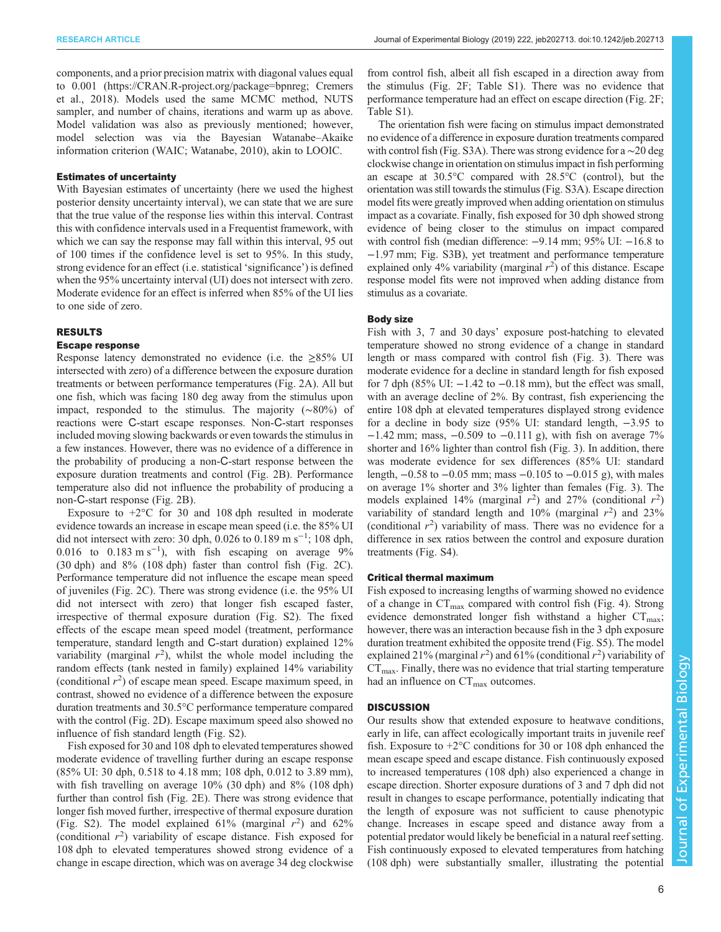components, and a prior precision matrix with diagonal values equal to 0.001 [\(https://CRAN.R-project.org/package=bpnreg](https://CRAN.R-project.org/package=bpnreg); [Cremers](#page-9-0) [et al., 2018\)](#page-9-0). Models used the same MCMC method, NUTS sampler, and number of chains, iterations and warm up as above. Model validation was also as previously mentioned; however, model selection was via the Bayesian Watanabe–Akaike information criterion (WAIC; [Watanabe, 2010](#page-11-0)), akin to LOOIC.

## Estimates of uncertainty

With Bayesian estimates of uncertainty (here we used the highest posterior density uncertainty interval), we can state that we are sure that the true value of the response lies within this interval. Contrast this with confidence intervals used in a Frequentist framework, with which we can say the response may fall within this interval, 95 out of 100 times if the confidence level is set to 95%. In this study, strong evidence for an effect (i.e. statistical 'significance') is defined when the 95% uncertainty interval (UI) does not intersect with zero. Moderate evidence for an effect is inferred when 85% of the UI lies to one side of zero.

#### RESULTS

## Escape response

Response latency demonstrated no evidence (i.e. the ≥85% UI intersected with zero) of a difference between the exposure duration treatments or between performance temperatures [\(Fig. 2A](#page-6-0)). All but one fish, which was facing 180 deg away from the stimulus upon impact, responded to the stimulus. The majority (∼80%) of reactions were C-start escape responses. Non-C-start responses included moving slowing backwards or even towards the stimulus in a few instances. However, there was no evidence of a difference in the probability of producing a non-C-start response between the exposure duration treatments and control [\(Fig. 2B](#page-6-0)). Performance temperature also did not influence the probability of producing a non-C-start response [\(Fig. 2B](#page-6-0)).

Exposure to  $+2$ °C for 30 and 108 dph resulted in moderate evidence towards an increase in escape mean speed (i.e. the 85% UI did not intersect with zero: 30 dph,  $0.026$  to  $0.189$  m s<sup>-1</sup>; 108 dph, 0.016 to 0.183 m s<sup>-1</sup>), with fish escaping on average  $9\%$ (30 dph) and 8% (108 dph) faster than control fish ([Fig. 2](#page-6-0)C). Performance temperature did not influence the escape mean speed of juveniles [\(Fig. 2C](#page-6-0)). There was strong evidence (i.e. the 95% UI did not intersect with zero) that longer fish escaped faster, irrespective of thermal exposure duration ([Fig. S2\)](http://jeb.biologists.org/lookup/doi/10.1242/jeb.202713.supplemental). The fixed effects of the escape mean speed model (treatment, performance temperature, standard length and C-start duration) explained 12% variability (marginal  $r^2$ ), whilst the whole model including the random effects (tank nested in family) explained 14% variability (conditional  $r^2$ ) of escape mean speed. Escape maximum speed, in contrast, showed no evidence of a difference between the exposure duration treatments and 30.5°C performance temperature compared with the control ([Fig. 2D](#page-6-0)). Escape maximum speed also showed no influence of fish standard length ([Fig. S2](http://jeb.biologists.org/lookup/doi/10.1242/jeb.202713.supplemental)).

Fish exposed for 30 and 108 dph to elevated temperatures showed moderate evidence of travelling further during an escape response (85% UI: 30 dph, 0.518 to 4.18 mm; 108 dph, 0.012 to 3.89 mm), with fish travelling on average 10% (30 dph) and 8% (108 dph) further than control fish [\(Fig. 2E](#page-6-0)). There was strong evidence that longer fish moved further, irrespective of thermal exposure duration [\(Fig. S2](http://jeb.biologists.org/lookup/doi/10.1242/jeb.202713.supplemental)). The model explained 61% (marginal  $r^2$ ) and 62% (conditional  $r^2$ ) variability of escape distance. Fish exposed for 108 dph to elevated temperatures showed strong evidence of a change in escape direction, which was on average 34 deg clockwise

from control fish, albeit all fish escaped in a direction away from the stimulus ([Fig. 2F](#page-6-0); [Table S1](http://jeb.biologists.org/lookup/doi/10.1242/jeb.202713.supplemental)). There was no evidence that performance temperature had an effect on escape direction [\(Fig. 2](#page-6-0)F; [Table S1\)](http://jeb.biologists.org/lookup/doi/10.1242/jeb.202713.supplemental).

The orientation fish were facing on stimulus impact demonstrated no evidence of a difference in exposure duration treatments compared with control fish [\(Fig. S3A](http://jeb.biologists.org/lookup/doi/10.1242/jeb.202713.supplemental)). There was strong evidence for a ∼20 deg clockwise change in orientation on stimulus impact in fish performing an escape at 30.5°C compared with 28.5°C (control), but the orientation was still towards the stimulus ([Fig. S3A\)](http://jeb.biologists.org/lookup/doi/10.1242/jeb.202713.supplemental). Escape direction model fits were greatly improved when adding orientation on stimulus impact as a covariate. Finally, fish exposed for 30 dph showed strong evidence of being closer to the stimulus on impact compared with control fish (median difference:  $-9.14$  mm; 95% UI:  $-16.8$  to −1.97 mm; [Fig. S3B](http://jeb.biologists.org/lookup/doi/10.1242/jeb.202713.supplemental)), yet treatment and performance temperature explained only 4% variability (marginal  $r^2$ ) of this distance. Escape response model fits were not improved when adding distance from stimulus as a covariate.

#### Body size

Fish with 3, 7 and 30 days' exposure post-hatching to elevated temperature showed no strong evidence of a change in standard length or mass compared with control fish ([Fig. 3\)](#page-7-0). There was moderate evidence for a decline in standard length for fish exposed for 7 dph (85% UI:  $-1.42$  to  $-0.18$  mm), but the effect was small, with an average decline of 2%. By contrast, fish experiencing the entire 108 dph at elevated temperatures displayed strong evidence for a decline in body size (95% UI: standard length, −3.95 to  $-1.42$  mm; mass,  $-0.509$  to  $-0.111$  g), with fish on average 7% shorter and 16% lighter than control fish ([Fig. 3\)](#page-7-0). In addition, there was moderate evidence for sex differences (85% UI: standard length, −0.58 to −0.05 mm; mass −0.105 to −0.015 g), with males on average 1% shorter and 3% lighter than females ([Fig. 3\)](#page-7-0). The models explained 14% (marginal  $r^2$ ) and 27% (conditional  $r^2$ ) variability of standard length and 10% (marginal  $r^2$ ) and 23% (conditional  $r^2$ ) variability of mass. There was no evidence for a difference in sex ratios between the control and exposure duration treatments [\(Fig. S4\)](http://jeb.biologists.org/lookup/doi/10.1242/jeb.202713.supplemental).

#### Critical thermal maximum

Fish exposed to increasing lengths of warming showed no evidence of a change in  $CT_{\text{max}}$  compared with control fish ([Fig. 4](#page-7-0)). Strong evidence demonstrated longer fish withstand a higher  $CT_{\text{max}}$ ; however, there was an interaction because fish in the 3 dph exposure duration treatment exhibited the opposite trend ([Fig. S5\)](http://jeb.biologists.org/lookup/doi/10.1242/jeb.202713.supplemental). The model explained 21% (marginal  $r^2$ ) and 61% (conditional  $r^2$ ) variability of  $CT<sub>max</sub>$ . Finally, there was no evidence that trial starting temperature had an influence on  $CT_{\text{max}}$  outcomes.

#### **DISCUSSION**

Our results show that extended exposure to heatwave conditions, early in life, can affect ecologically important traits in juvenile reef fish. Exposure to  $+2^{\circ}$ C conditions for 30 or 108 dph enhanced the mean escape speed and escape distance. Fish continuously exposed to increased temperatures (108 dph) also experienced a change in escape direction. Shorter exposure durations of 3 and 7 dph did not result in changes to escape performance, potentially indicating that the length of exposure was not sufficient to cause phenotypic change. Increases in escape speed and distance away from a potential predator would likely be beneficial in a natural reef setting. Fish continuously exposed to elevated temperatures from hatching (108 dph) were substantially smaller, illustrating the potential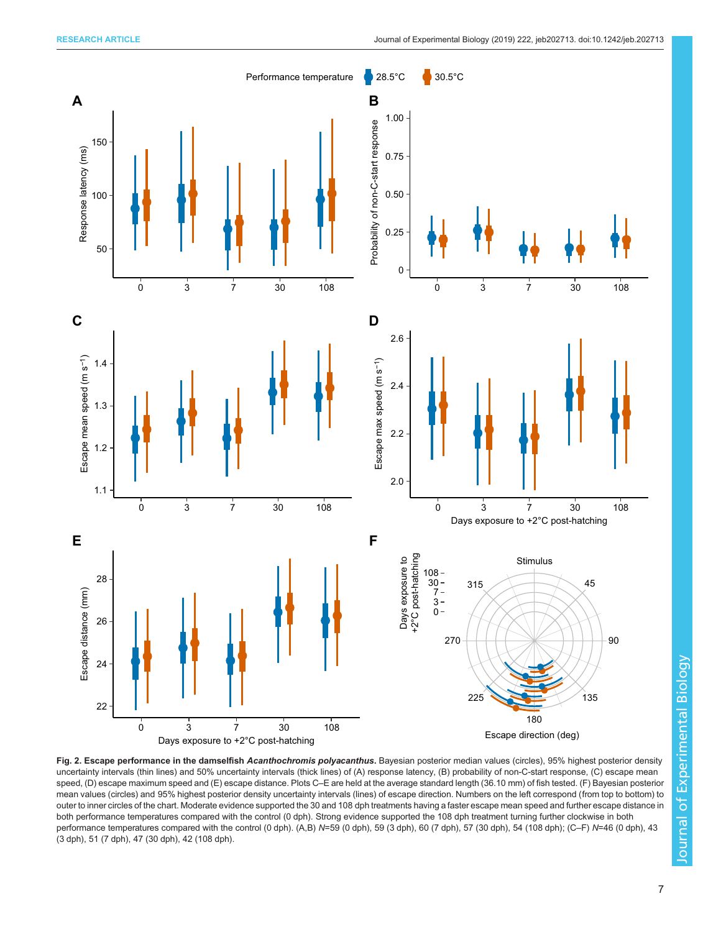<span id="page-6-0"></span>

Fig. 2. Escape performance in the damselfish Acanthochromis polyacanthus. Bayesian posterior median values (circles), 95% highest posterior density uncertainty intervals (thin lines) and 50% uncertainty intervals (thick lines) of (A) response latency, (B) probability of non-C-start response, (C) escape mean speed, (D) escape maximum speed and (E) escape distance. Plots C–E are held at the average standard length (36.10 mm) of fish tested. (F) Bayesian posterior mean values (circles) and 95% highest posterior density uncertainty intervals (lines) of escape direction. Numbers on the left correspond (from top to bottom) to outer to inner circles of the chart. Moderate evidence supported the 30 and 108 dph treatments having a faster escape mean speed and further escape distance in both performance temperatures compared with the control (0 dph). Strong evidence supported the 108 dph treatment turning further clockwise in both performance temperatures compared with the control (0 dph). (A,B) N=59 (0 dph), 59 (3 dph), 60 (7 dph), 57 (30 dph), 54 (108 dph); (C–F) N=46 (0 dph), 43 (3 dph), 51 (7 dph), 47 (30 dph), 42 (108 dph).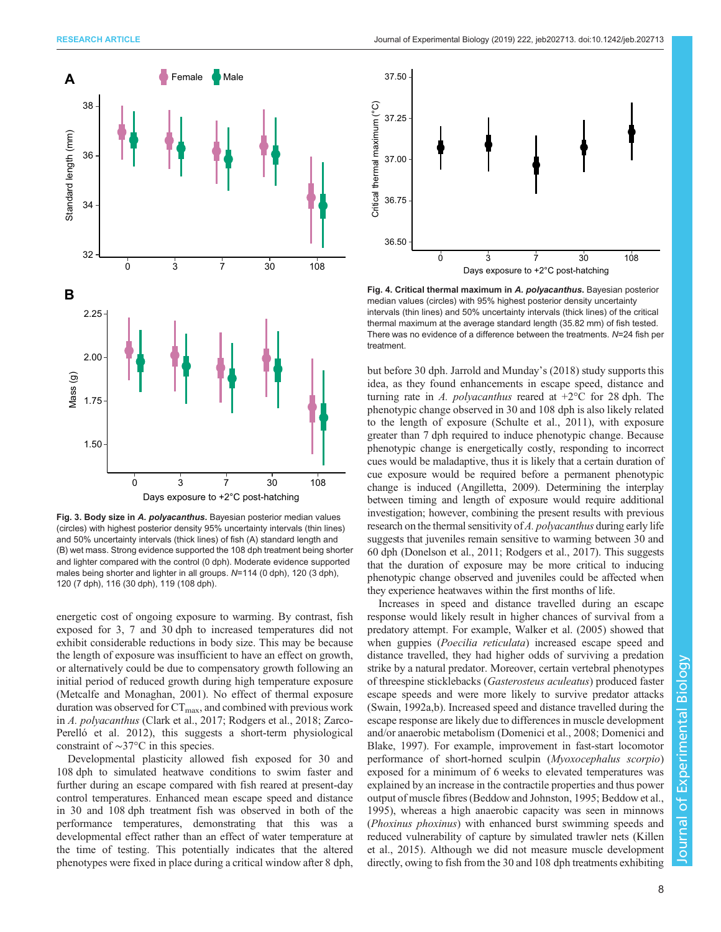<span id="page-7-0"></span>

Fig. 3. Body size in A. polyacanthus. Bayesian posterior median values (circles) with highest posterior density 95% uncertainty intervals (thin lines) and 50% uncertainty intervals (thick lines) of fish (A) standard length and (B) wet mass. Strong evidence supported the 108 dph treatment being shorter and lighter compared with the control (0 dph). Moderate evidence supported males being shorter and lighter in all groups. N=114 (0 dph), 120 (3 dph), 120 (7 dph), 116 (30 dph), 119 (108 dph).

energetic cost of ongoing exposure to warming. By contrast, fish exposed for 3, 7 and 30 dph to increased temperatures did not exhibit considerable reductions in body size. This may be because the length of exposure was insufficient to have an effect on growth, or alternatively could be due to compensatory growth following an initial period of reduced growth during high temperature exposure [\(Metcalfe and Monaghan, 2001\)](#page-10-0). No effect of thermal exposure duration was observed for  $CT_{\text{max}}$ , and combined with previous work in A. polyacanthus ([Clark et al., 2017](#page-9-0); [Rodgers et al., 2018](#page-10-0); [Zarco-](#page-11-0)[Perelló et al. 2012](#page-11-0)), this suggests a short-term physiological constraint of ∼37°C in this species.

Developmental plasticity allowed fish exposed for 30 and 108 dph to simulated heatwave conditions to swim faster and further during an escape compared with fish reared at present-day control temperatures. Enhanced mean escape speed and distance in 30 and 108 dph treatment fish was observed in both of the performance temperatures, demonstrating that this was a developmental effect rather than an effect of water temperature at the time of testing. This potentially indicates that the altered phenotypes were fixed in place during a critical window after 8 dph,



Fig. 4. Critical thermal maximum in A. polyacanthus. Bayesian posterior median values (circles) with 95% highest posterior density uncertainty intervals (thin lines) and 50% uncertainty intervals (thick lines) of the critical thermal maximum at the average standard length (35.82 mm) of fish tested. There was no evidence of a difference between the treatments.  $N=24$  fish per treatment.

but before 30 dph. [Jarrold and Munday](#page-10-0)'s (2018) study supports this idea, as they found enhancements in escape speed, distance and turning rate in A. *polyacanthus* reared at  $+2^{\circ}$ C for 28 dph. The phenotypic change observed in 30 and 108 dph is also likely related to the length of exposure ([Schulte et al., 2011](#page-10-0)), with exposure greater than 7 dph required to induce phenotypic change. Because phenotypic change is energetically costly, responding to incorrect cues would be maladaptive, thus it is likely that a certain duration of cue exposure would be required before a permanent phenotypic change is induced [\(Angilletta, 2009\)](#page-9-0). Determining the interplay between timing and length of exposure would require additional investigation; however, combining the present results with previous research on the thermal sensitivity of A. polyacanthus during early life suggests that juveniles remain sensitive to warming between 30 and 60 dph ([Donelson et al., 2011](#page-9-0); [Rodgers et al., 2017](#page-10-0)). This suggests that the duration of exposure may be more critical to inducing phenotypic change observed and juveniles could be affected when they experience heatwaves within the first months of life.

Increases in speed and distance travelled during an escape response would likely result in higher chances of survival from a predatory attempt. For example, [Walker et al. \(2005\)](#page-10-0) showed that when guppies (*Poecilia reticulata*) increased escape speed and distance travelled, they had higher odds of surviving a predation strike by a natural predator. Moreover, certain vertebral phenotypes of threespine sticklebacks (Gasterosteus aculeatus) produced faster escape speeds and were more likely to survive predator attacks [\(Swain, 1992a](#page-10-0),[b](#page-10-0)). Increased speed and distance travelled during the escape response are likely due to differences in muscle development and/or anaerobic metabolism ([Domenici et al., 2008](#page-9-0); [Domenici and](#page-9-0) [Blake, 1997](#page-9-0)). For example, improvement in fast-start locomotor performance of short-horned sculpin (Myoxocephalus scorpio) exposed for a minimum of 6 weeks to elevated temperatures was explained by an increase in the contractile properties and thus power output of muscle fibres ([Beddow and Johnston, 1995; Beddow et al.,](#page-9-0) [1995\)](#page-9-0), whereas a high anaerobic capacity was seen in minnows (Phoxinus phoxinus) with enhanced burst swimming speeds and reduced vulnerability of capture by simulated trawler nets ([Killen](#page-10-0) [et al., 2015](#page-10-0)). Although we did not measure muscle development directly, owing to fish from the 30 and 108 dph treatments exhibiting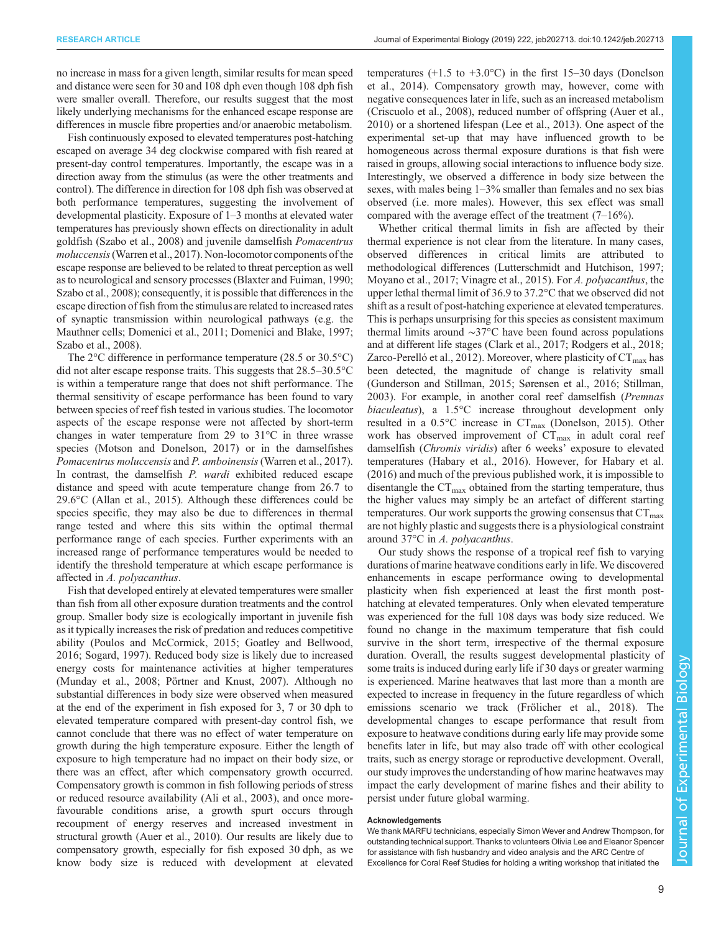no increase in mass for a given length, similar results for mean speed and distance were seen for 30 and 108 dph even though 108 dph fish were smaller overall. Therefore, our results suggest that the most likely underlying mechanisms for the enhanced escape response are differences in muscle fibre properties and/or anaerobic metabolism.

Fish continuously exposed to elevated temperatures post-hatching escaped on average 34 deg clockwise compared with fish reared at present-day control temperatures. Importantly, the escape was in a direction away from the stimulus (as were the other treatments and control). The difference in direction for 108 dph fish was observed at both performance temperatures, suggesting the involvement of developmental plasticity. Exposure of 1–3 months at elevated water temperatures has previously shown effects on directionality in adult goldfish [\(Szabo et al., 2008\)](#page-10-0) and juvenile damselfish Pomacentrus moluccensis[\(Warren et al., 2017\)](#page-10-0). Non-locomotor components of the escape response are believed to be related to threat perception as well as to neurological and sensory processes [\(Blaxter and Fuiman, 1990](#page-9-0); [Szabo et al., 2008](#page-10-0)); consequently, it is possible that differences in the escape direction of fish from the stimulus are related to increased rates of synaptic transmission within neurological pathways (e.g. the Mauthner cells; [Domenici et al., 2011; Domenici and Blake, 1997](#page-9-0); [Szabo et al., 2008](#page-10-0)).

The 2°C difference in performance temperature (28.5 or 30.5°C) did not alter escape response traits. This suggests that 28.5–30.5°C is within a temperature range that does not shift performance. The thermal sensitivity of escape performance has been found to vary between species of reef fish tested in various studies. The locomotor aspects of the escape response were not affected by short-term changes in water temperature from 29 to 31°C in three wrasse species ([Motson and Donelson, 2017](#page-10-0)) or in the damselfishes Pomacentrus moluccensis and P. amboinensis [\(Warren et al., 2017\)](#page-10-0). In contrast, the damselfish *P. wardi* exhibited reduced escape distance and speed with acute temperature change from 26.7 to 29.6°C [\(Allan et al., 2015](#page-9-0)). Although these differences could be species specific, they may also be due to differences in thermal range tested and where this sits within the optimal thermal performance range of each species. Further experiments with an increased range of performance temperatures would be needed to identify the threshold temperature at which escape performance is affected in A. polyacanthus.

Fish that developed entirely at elevated temperatures were smaller than fish from all other exposure duration treatments and the control group. Smaller body size is ecologically important in juvenile fish as it typically increases the risk of predation and reduces competitive ability ([Poulos and McCormick, 2015;](#page-10-0) [Goatley and Bellwood,](#page-9-0) [2016](#page-9-0); [Sogard, 1997](#page-10-0)). Reduced body size is likely due to increased energy costs for maintenance activities at higher temperatures [\(Munday et al., 2008; Pörtner and Knust, 2007\)](#page-10-0). Although no substantial differences in body size were observed when measured at the end of the experiment in fish exposed for 3, 7 or 30 dph to elevated temperature compared with present-day control fish, we cannot conclude that there was no effect of water temperature on growth during the high temperature exposure. Either the length of exposure to high temperature had no impact on their body size, or there was an effect, after which compensatory growth occurred. Compensatory growth is common in fish following periods of stress or reduced resource availability ([Ali et al., 2003\)](#page-9-0), and once morefavourable conditions arise, a growth spurt occurs through recoupment of energy reserves and increased investment in structural growth ([Auer et al., 2010\)](#page-9-0). Our results are likely due to compensatory growth, especially for fish exposed 30 dph, as we know body size is reduced with development at elevated

temperatures  $(+1.5 \text{ to } +3.0^{\circ}\text{C})$  in the first 15–30 days ([Donelson](#page-9-0) [et al., 2014\)](#page-9-0). Compensatory growth may, however, come with negative consequences later in life, such as an increased metabolism [\(Criscuolo et al., 2008\)](#page-9-0), reduced number of offspring [\(Auer et al.,](#page-9-0) [2010\)](#page-9-0) or a shortened lifespan [\(Lee et al., 2013\)](#page-10-0). One aspect of the experimental set-up that may have influenced growth to be homogeneous across thermal exposure durations is that fish were raised in groups, allowing social interactions to influence body size. Interestingly, we observed a difference in body size between the sexes, with males being 1–3% smaller than females and no sex bias observed (i.e. more males). However, this sex effect was small compared with the average effect of the treatment (7–16%).

Whether critical thermal limits in fish are affected by their thermal experience is not clear from the literature. In many cases, observed differences in critical limits are attributed to methodological differences ([Lutterschmidt and Hutchison, 1997](#page-10-0); [Moyano et al., 2017; Vinagre et al., 2015](#page-10-0)). For A. polyacanthus, the upper lethal thermal limit of 36.9 to 37.2°C that we observed did not shift as a result of post-hatching experience at elevated temperatures. This is perhaps unsurprising for this species as consistent maximum thermal limits around ∼37°C have been found across populations and at different life stages ([Clark et al., 2017](#page-9-0); [Rodgers et al., 2018](#page-10-0); [Zarco-Perelló et al., 2012](#page-11-0)). Moreover, where plasticity of  $CT_{\text{max}}$  has been detected, the magnitude of change is relativity small [\(Gunderson and Stillman, 2015;](#page-9-0) [Sørensen et al., 2016; Stillman,](#page-10-0) [2003\)](#page-10-0). For example, in another coral reef damselfish (Premnas biaculeatus), a 1.5°C increase throughout development only resulted in a  $0.5^{\circ}$ C increase in  $CT_{\text{max}}$  ([Donelson, 2015\)](#page-9-0). Other work has observed improvement of  $CT_{\text{max}}$  in adult coral reef damselfish (Chromis viridis) after 6 weeks' exposure to elevated temperatures [\(Habary et al., 2016\)](#page-10-0). However, for [Habary et al.](#page-10-0) [\(2016\)](#page-10-0) and much of the previous published work, it is impossible to disentangle the  $CT_{\text{max}}$  obtained from the starting temperature, thus the higher values may simply be an artefact of different starting temperatures. Our work supports the growing consensus that  $CT_{\text{max}}$ are not highly plastic and suggests there is a physiological constraint around 37°C in A. polyacanthus.

Our study shows the response of a tropical reef fish to varying durations of marine heatwave conditions early in life. We discovered enhancements in escape performance owing to developmental plasticity when fish experienced at least the first month posthatching at elevated temperatures. Only when elevated temperature was experienced for the full 108 days was body size reduced. We found no change in the maximum temperature that fish could survive in the short term, irrespective of the thermal exposure duration. Overall, the results suggest developmental plasticity of some traits is induced during early life if 30 days or greater warming is experienced. Marine heatwaves that last more than a month are expected to increase in frequency in the future regardless of which emissions scenario we track [\(Frölicher et al., 2018](#page-9-0)). The developmental changes to escape performance that result from exposure to heatwave conditions during early life may provide some benefits later in life, but may also trade off with other ecological traits, such as energy storage or reproductive development. Overall, our study improves the understanding of how marine heatwaves may impact the early development of marine fishes and their ability to persist under future global warming.

# Acknowledgements

We thank MARFU technicians, especially Simon Wever and Andrew Thompson, for outstanding technical support. Thanks to volunteers Olivia Lee and Eleanor Spencer for assistance with fish husbandry and video analysis and the ARC Centre of Excellence for Coral Reef Studies for holding a writing workshop that initiated the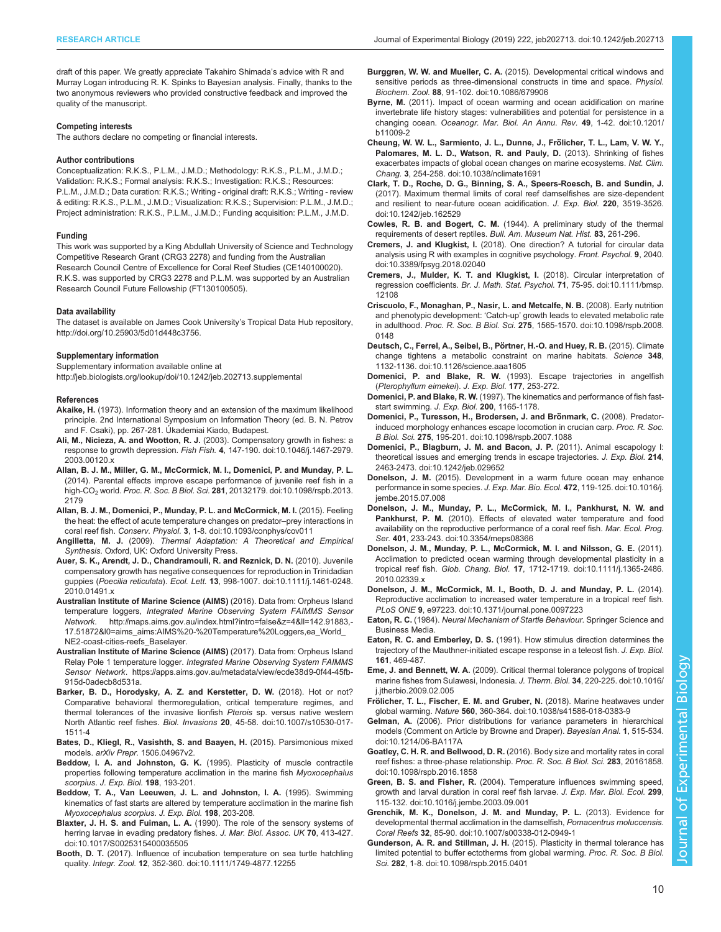<span id="page-9-0"></span>draft of this paper. We greatly appreciate Takahiro Shimada's advice with R and Murray Logan introducing R. K. Spinks to Bayesian analysis. Finally, thanks to the two anonymous reviewers who provided constructive feedback and improved the quality of the manuscript.

#### Competing interests

The authors declare no competing or financial interests.

#### Author contributions

Conceptualization: R.K.S., P.L.M., J.M.D.; Methodology: R.K.S., P.L.M., J.M.D.; Validation: R.K.S.; Formal analysis: R.K.S.; Investigation: R.K.S.; Resources: P.L.M., J.M.D.; Data curation: R.K.S.; Writing - original draft: R.K.S.; Writing - review & editing: R.K.S., P.L.M., J.M.D.; Visualization: R.K.S.; Supervision: P.L.M., J.M.D.; Project administration: R.K.S., P.L.M., J.M.D.; Funding acquisition: P.L.M., J.M.D.

#### Funding

This work was supported by a King Abdullah University of Science and Technology Competitive Research Grant (CRG3 2278) and funding from the Australian Research Council Centre of Excellence for Coral Reef Studies (CE140100020). R.K.S. was supported by CRG3 2278 and P.L.M. was supported by an Australian Research Council Future Fellowship (FT130100505).

#### Data availability

The dataset is available on James Cook University's Tropical Data Hub repository, <http://doi.org/10.25903/5d01d448c3756>.

#### Supplementary information

Supplementary information available online at <http://jeb.biologists.org/lookup/doi/10.1242/jeb.202713.supplemental>

#### References

- Akaike, H. (1973). Information theory and an extension of the maximum likelihood principle. 2nd International Symposium on Information Theory (ed. B. N. Petrov and F. Csaki), pp. 267-281. Ú kademiai Kiado, Budapest.
- Ali, M., Nicieza, A. and Wootton, R. J. [\(2003\). Compensatory growth in fishes: a](https://doi.org/10.1046/j.1467-2979.2003.00120.x) response to growth depression. Fish Fish. 4[, 147-190. doi:10.1046/j.1467-2979.](https://doi.org/10.1046/j.1467-2979.2003.00120.x) [2003.00120.x](https://doi.org/10.1046/j.1467-2979.2003.00120.x)
- [Allan, B. J. M., Miller, G. M., McCormick, M. I., Domenici, P. and Munday, P. L.](https://doi.org/10.1098/rspb.2013.2179) [\(2014\). Parental effects improve escape performance of juvenile reef fish in a](https://doi.org/10.1098/rspb.2013.2179) [high-CO2](https://doi.org/10.1098/rspb.2013.2179) world. Proc. R. Soc. B Biol. Sci. 281[, 20132179. doi:10.1098/rspb.2013.](https://doi.org/10.1098/rspb.2013.2179) [2179](https://doi.org/10.1098/rspb.2013.2179)
- [Allan, B. J. M., Domenici, P., Munday, P. L. and McCormick, M. I.](https://doi.org/10.1093/conphys/cov011) (2015). Feeling [the heat: the effect of acute temperature changes on predator](https://doi.org/10.1093/conphys/cov011)–prey interactions in coral reef fish. Conserv. Physiol. 3[, 1-8. doi:10.1093/conphys/cov011](https://doi.org/10.1093/conphys/cov011)
- Angilletta, M. J. (2009). Thermal Adaptation: A Theoretical and Empirical Synthesis. Oxford, UK: Oxford University Press.
- [Auer, S. K., Arendt, J. D., Chandramouli, R. and Reznick, D. N.](https://doi.org/10.1111/j.1461-0248.2010.01491.x) (2010). Juvenile [compensatory growth has negative consequences for reproduction in Trinidadian](https://doi.org/10.1111/j.1461-0248.2010.01491.x) guppies (Poecilia reticulata). Ecol. Lett. 13[, 998-1007. doi:10.1111/j.1461-0248.](https://doi.org/10.1111/j.1461-0248.2010.01491.x) [2010.01491.x](https://doi.org/10.1111/j.1461-0248.2010.01491.x)
- Australian Institute of Marine Science (AIMS) (2016). Data from: Orpheus Island temperature loggers, Integrated Marine Observing System FAIMMS Sensor Network. [http://maps.aims.gov.au/index.html?intro=false&z=4&ll=142.91883,-](http://maps.aims.gov.au/index.html?intro=false&z=4&ll=142.91883,-17.51872&l0=aims_aims:AIMS%20-%20Temperature%20Loggers,ea_World_NE2-coast-cities-reefs_Baselayer) [17.51872&l0=aims\\_aims:AIMS%20-%20Temperature%20Loggers,ea\\_World\\_](http://maps.aims.gov.au/index.html?intro=false&z=4&ll=142.91883,-17.51872&l0=aims_aims:AIMS%20-%20Temperature%20Loggers,ea_World_NE2-coast-cities-reefs_Baselayer) [NE2-coast-cities-reefs\\_Baselayer.](http://maps.aims.gov.au/index.html?intro=false&z=4&ll=142.91883,-17.51872&l0=aims_aims:AIMS%20-%20Temperature%20Loggers,ea_World_NE2-coast-cities-reefs_Baselayer)
- Australian Institute of Marine Science (AIMS) (2017). Data from: Orpheus Island Relay Pole 1 temperature logger. Integrated Marine Observing System FAIMMS Sensor Network. [https://apps.aims.gov.au/metadata/view/ecde38d9-0f44-45fb-](https://apps.aims.gov.au/metadata/view/ecde38d9-0f44-45fb-915d-0adecb8d531a)[915d-0adecb8d531a.](https://apps.aims.gov.au/metadata/view/ecde38d9-0f44-45fb-915d-0adecb8d531a)
- [Barker, B. D., Horodysky, A. Z. and Kerstetter, D. W.](https://doi.org/10.1007/s10530-017-1511-4) (2018). Hot or not? [Comparative behavioral thermoregulation, critical temperature regimes, and](https://doi.org/10.1007/s10530-017-1511-4) [thermal tolerances of the invasive lionfish](https://doi.org/10.1007/s10530-017-1511-4) Pterois sp. versus native western North Atlantic reef fishes. Biol. Invasions 20[, 45-58. doi:10.1007/s10530-017-](https://doi.org/10.1007/s10530-017-1511-4) [1511-4](https://doi.org/10.1007/s10530-017-1511-4)
- Bates, D., Kliegl, R., Vasishth, S. and Baayen, H. (2015). Parsimonious mixed models. arXiv Prepr. 1506.04967v2.
- Beddow, I. A. and Johnston, G. K. (1995). Plasticity of muscle contractile properties following temperature acclimation in the marine fish Myoxocephalus scorpius. J. Exp. Biol. 198, 193-201.
- Beddow, T. A., Van Leeuwen, J. L. and Johnston, I. A. (1995). Swimming kinematics of fast starts are altered by temperature acclimation in the marine fish Myoxocephalus scorpius. J. Exp. Biol. 198, 203-208.
- Blaxter, J. H. S. and Fuiman, L. A. [\(1990\). The role of the sensory systems of](https://doi.org/10.1017/S0025315400035505) [herring larvae in evading predatory fishes.](https://doi.org/10.1017/S0025315400035505) J. Mar. Biol. Assoc. UK 70, 413-427. [doi:10.1017/S0025315400035505](https://doi.org/10.1017/S0025315400035505)
- Booth, D. T. [\(2017\). Influence of incubation temperature on sea turtle hatchling](https://doi.org/10.1111/1749-4877.12255) quality. Integr. Zool. 12[, 352-360. doi:10.1111/1749-4877.12255](https://doi.org/10.1111/1749-4877.12255)
- Burggren, W. W. and Mueller, C. A. [\(2015\). Developmental critical windows and](https://doi.org/10.1086/679906) [sensitive periods as three-dimensional constructs in time and space.](https://doi.org/10.1086/679906) Physiol. Biochem. Zool. 88[, 91-102. doi:10.1086/679906](https://doi.org/10.1086/679906)
- Byrne, M. [\(2011\). Impact of ocean warming and ocean acidification on marine](https://doi.org/10.1201/b11009-2) [invertebrate life history stages: vulnerabilities and potential for persistence in a](https://doi.org/10.1201/b11009-2) changing ocean. [Oceanogr. Mar. Biol. An Annu. Rev.](https://doi.org/10.1201/b11009-2) 49, 1-42. doi:10.1201/ [b11009-2](https://doi.org/10.1201/b11009-2)
- Cheung, W. W. L., Sarmiento, J. L., Dunne, J., Frölicher, T. L., Lam, V. W. Y., [Palomares, M. L. D., Watson, R. and Pauly, D.](https://doi.org/10.1038/nclimate1691) (2013). Shrinking of fishes [exacerbates impacts of global ocean changes on marine ecosystems.](https://doi.org/10.1038/nclimate1691) Nat. Clim. Chang. 3[, 254-258. doi:10.1038/nclimate1691](https://doi.org/10.1038/nclimate1691)
- [Clark, T. D., Roche, D. G., Binning, S. A., Speers-Roesch, B. and Sundin, J.](https://doi.org/10.1242/jeb.162529) [\(2017\). Maximum thermal limits of coral reef damselfishes are size-dependent](https://doi.org/10.1242/jeb.162529) [and resilient to near-future ocean acidification.](https://doi.org/10.1242/jeb.162529) J. Exp. Biol. 220, 3519-3526. [doi:10.1242/jeb.162529](https://doi.org/10.1242/jeb.162529)
- Cowles, R. B. and Bogert, C. M. (1944). A preliminary study of the thermal requirements of desert reptiles. Bull. Am. Museum Nat. Hist. 83, 261-296.
- Cremers, J. and Klugkist, I. [\(2018\). One direction? A tutorial for circular data](https://doi.org/10.3389/fpsyg.2018.02040) [analysis using R with examples in cognitive psychology.](https://doi.org/10.3389/fpsyg.2018.02040) Front. Psychol. 9, 2040. [doi:10.3389/fpsyg.2018.02040](https://doi.org/10.3389/fpsyg.2018.02040)
- [Cremers, J., Mulder, K. T. and Klugkist, I.](https://doi.org/10.1111/bmsp.12108) (2018). Circular interpretation of regression coefficients. Br. J. Math. Stat. Psychol. 71[, 75-95. doi:10.1111/bmsp.](https://doi.org/10.1111/bmsp.12108) [12108](https://doi.org/10.1111/bmsp.12108)
- [Criscuolo, F., Monaghan, P., Nasir, L. and Metcalfe, N. B.](https://doi.org/10.1098/rspb.2008.0148) (2008). Early nutrition and phenotypic development: 'Catch-up' [growth leads to elevated metabolic rate](https://doi.org/10.1098/rspb.2008.0148) in adulthood. Proc. R. Soc. B Biol. Sci. 275[, 1565-1570. doi:10.1098/rspb.2008.](https://doi.org/10.1098/rspb.2008.0148) [0148](https://doi.org/10.1098/rspb.2008.0148)
- Deutsch, C., Ferrel, A., Seibel, B., Pörtner, H.-O. and Huey, R. B. (2015). Climate [change tightens a metabolic constraint on marine habitats.](https://doi.org/10.1126/science.aaa1605) Science 348, [1132-1136. doi:10.1126/science.aaa1605](https://doi.org/10.1126/science.aaa1605)
- Domenici, P. and Blake, R. W. (1993). Escape trajectories in angelfish (Pterophyllum eimekei). J. Exp. Biol. 177, 253-272.
- Domenici, P. and Blake, R. W. (1997). The kinematics and performance of fish faststart swimming. J. Exp. Biol. 200, 1165-1178.
- Domenici, P., Turesson, H., Brodersen, J. and Brönmark, C. (2008). Predator[induced morphology enhances escape locomotion in crucian carp.](https://doi.org/10.1098/rspb.2007.1088) Proc. R. Soc. B Biol. Sci. 275[, 195-201. doi:10.1098/rspb.2007.1088](https://doi.org/10.1098/rspb.2007.1088)
- [Domenici, P., Blagburn, J. M. and Bacon, J. P.](https://doi.org/10.1242/jeb.029652) (2011). Animal escapology I: [theoretical issues and emerging trends in escape trajectories.](https://doi.org/10.1242/jeb.029652) J. Exp. Biol. 214, [2463-2473. doi:10.1242/jeb.029652](https://doi.org/10.1242/jeb.029652)
- Donelson, J. M. [\(2015\). Development in a warm future ocean may enhance](https://doi.org/10.1016/j.jembe.2015.07.008) [performance in some species.](https://doi.org/10.1016/j.jembe.2015.07.008) J. Exp. Mar. Bio. Ecol. 472, 119-125. doi:10.1016/j. [jembe.2015.07.008](https://doi.org/10.1016/j.jembe.2015.07.008)
- [Donelson, J. M., Munday, P. L., McCormick, M. I., Pankhurst, N. W. and](https://doi.org/10.3354/meps08366) Pankhurst, P. M. [\(2010\). Effects of elevated water temperature and food](https://doi.org/10.3354/meps08366) [availability on the reproductive performance of a coral reef fish.](https://doi.org/10.3354/meps08366) Mar. Ecol. Prog. Ser. 401[, 233-243. doi:10.3354/meps08366](https://doi.org/10.3354/meps08366)
- [Donelson, J. M., Munday, P. L., McCormick, M. I. and Nilsson, G. E.](https://doi.org/10.1111/j.1365-2486.2010.02339.x) (2011). [Acclimation to predicted ocean warming through developmental plasticity in a](https://doi.org/10.1111/j.1365-2486.2010.02339.x) tropical reef fish. Glob. Chang. Biol. 17[, 1712-1719. doi:10.1111/j.1365-2486.](https://doi.org/10.1111/j.1365-2486.2010.02339.x) [2010.02339.x](https://doi.org/10.1111/j.1365-2486.2010.02339.x)
- [Donelson, J. M., McCormick, M. I., Booth, D. J. and Munday, P. L.](https://doi.org/10.1371/journal.pone.0097223) (2014). [Reproductive acclimation to increased water temperature in a tropical reef fish.](https://doi.org/10.1371/journal.pone.0097223) PLoS ONE 9[, e97223. doi:10.1371/journal.pone.0097223](https://doi.org/10.1371/journal.pone.0097223)
- Eaton, R. C. (1984). Neural Mechanism of Startle Behaviour. Springer Science and Business Media.
- Eaton, R. C. and Emberley, D. S. (1991). How stimulus direction determines the trajectory of the Mauthner-initiated escape response in a teleost fish. J. Exp. Biol. 161, 469-487.
- Eme, J. and Bennett, W. A. [\(2009\). Critical thermal tolerance polygons of tropical](https://doi.org/10.1016/j.jtherbio.2009.02.005) [marine fishes from Sulawesi, Indonesia.](https://doi.org/10.1016/j.jtherbio.2009.02.005) J. Therm. Biol. 34, 220-225. doi:10.1016/ [j.jtherbio.2009.02.005](https://doi.org/10.1016/j.jtherbio.2009.02.005)
- Frö[licher, T. L., Fischer, E. M. and Gruber, N.](https://doi.org/10.1038/s41586-018-0383-9) (2018). Marine heatwaves under global warming. Nature 560[, 360-364. doi:10.1038/s41586-018-0383-9](https://doi.org/10.1038/s41586-018-0383-9)
- Gelman, A. [\(2006\). Prior distributions for variance parameters in hierarchical](https://doi.org/10.1214/06-BA117A) [models \(Comment on Article by Browne and Draper\).](https://doi.org/10.1214/06-BA117A) Bayesian Anal. 1, 515-534. [doi:10.1214/06-BA117A](https://doi.org/10.1214/06-BA117A)
- Goatley, C. H. R. and Bellwood, D. R. [\(2016\). Body size and mortality rates in coral](https://doi.org/10.1098/rspb.2016.1858) [reef fishes: a three-phase relationship.](https://doi.org/10.1098/rspb.2016.1858) Proc. R. Soc. B Biol. Sci. 283, 20161858. [doi:10.1098/rspb.2016.1858](https://doi.org/10.1098/rspb.2016.1858)
- Green, B. S. and Fisher, R. [\(2004\). Temperature influences swimming speed,](https://doi.org/10.1016/j.jembe.2003.09.001) [growth and larval duration in coral reef fish larvae.](https://doi.org/10.1016/j.jembe.2003.09.001) J. Exp. Mar. Biol. Ecol. 299, [115-132. doi:10.1016/j.jembe.2003.09.001](https://doi.org/10.1016/j.jembe.2003.09.001)
- [Grenchik, M. K., Donelson, J. M. and Munday, P. L.](https://doi.org/10.1007/s00338-012-0949-1) (2013). Evidence for [developmental thermal acclimation in the damselfish,](https://doi.org/10.1007/s00338-012-0949-1) Pomacentrus moluccensis. Coral Reefs 32[, 85-90. doi:10.1007/s00338-012-0949-1](https://doi.org/10.1007/s00338-012-0949-1)
- Gunderson, A. R. and Stillman, J. H. [\(2015\). Plasticity in thermal tolerance has](https://doi.org/10.1098/rspb.2015.0401) [limited potential to buffer ectotherms from global warming.](https://doi.org/10.1098/rspb.2015.0401) Proc. R. Soc. B Biol. Sci. 282[, 1-8. doi:10.1098/rspb.2015.0401](https://doi.org/10.1098/rspb.2015.0401)

Biology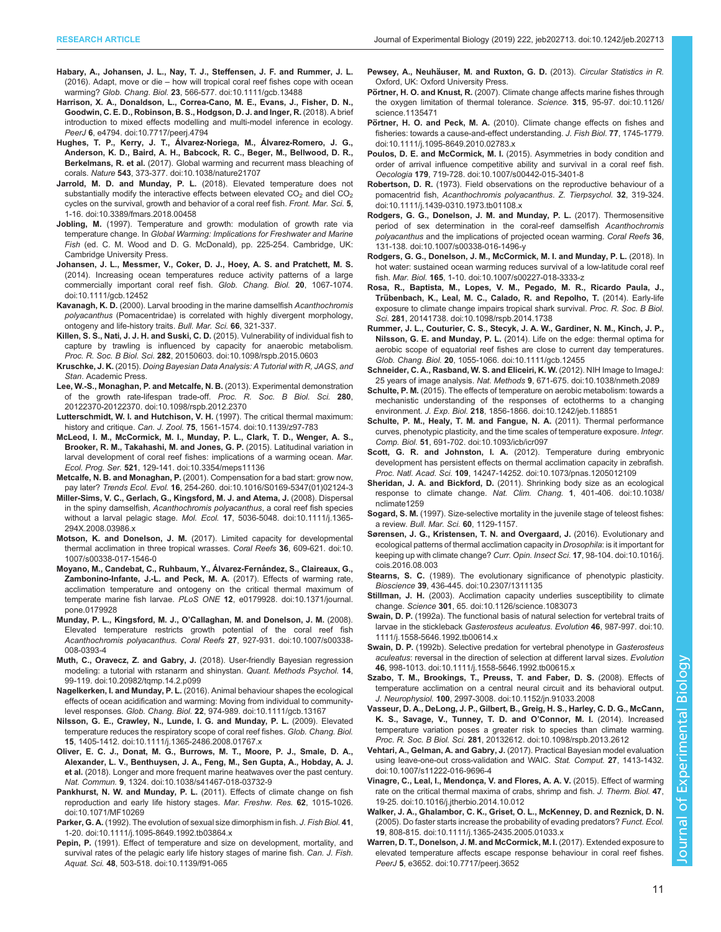- <span id="page-10-0"></span>[Habary, A., Johansen, J. L., Nay, T. J., Steffensen, J. F. and Rummer, J. L.](https://doi.org/10.1111/gcb.13488) (2016). Adapt, move or die – [how will tropical coral reef fishes cope with ocean](https://doi.org/10.1111/gcb.13488) warming? Glob. Chang. Biol. 23[, 566-577. doi:10.1111/gcb.13488](https://doi.org/10.1111/gcb.13488)
- [Harrison, X. A., Donaldson, L., Correa-Cano, M. E., Evans, J., Fisher, D. N.,](https://doi.org/10.7717/peerj.4794) [Goodwin, C. E. D., Robinson, B. S., Hodgson, D. J. and Inger, R.](https://doi.org/10.7717/peerj.4794) (2018). A brief [introduction to mixed effects modelling and multi-model inference in ecology.](https://doi.org/10.7717/peerj.4794) PeerJ 6[, e4794. doi:10.7717/peerj.4794](https://doi.org/10.7717/peerj.4794)
- [Hughes, T. P., Kerry, J. T., Álvarez-Noriega, M., Álvarez-Romero, J. G.,](https://doi.org/10.1038/nature21707) [Anderson, K. D., Baird, A. H., Babcock, R. C., Beger, M., Bellwood, D. R.,](https://doi.org/10.1038/nature21707) Berkelmans, R. et al. [\(2017\). Global warming and recurrent mass bleaching of](https://doi.org/10.1038/nature21707) corals. Nature 543[, 373-377. doi:10.1038/nature21707](https://doi.org/10.1038/nature21707)
- Jarrold, M. D. and Munday, P. L. [\(2018\). Elevated temperature does not](https://doi.org/10.3389/fmars.2018.00458) substantially modify the interactive effects between elevated  $CO<sub>2</sub>$  and diel  $CO<sub>2</sub>$ [cycles on the survival, growth and behavior of a coral reef fish.](https://doi.org/10.3389/fmars.2018.00458) Front. Mar. Sci. 5, [1-16. doi:10.3389/fmars.2018.00458](https://doi.org/10.3389/fmars.2018.00458)
- Jobling, M. (1997). Temperature and growth: modulation of growth rate via temperature change. In Global Warming: Implications for Freshwater and Marine Fish (ed. C. M. Wood and D. G. McDonald), pp. 225-254. Cambridge, UK: Cambridge University Press.
- [Johansen, J. L., Messmer, V., Coker, D. J., Hoey, A. S. and Pratchett, M. S.](https://doi.org/10.1111/gcb.12452) [\(2014\). Increasing ocean temperatures reduce activity patterns of a large](https://doi.org/10.1111/gcb.12452) [commercially important coral reef fish.](https://doi.org/10.1111/gcb.12452) Glob. Chang. Biol. 20, 1067-1074. [doi:10.1111/gcb.12452](https://doi.org/10.1111/gcb.12452)
- Kavanagh, K. D. (2000). Larval brooding in the marine damselfish Acanthochromis polyacanthus (Pomacentridae) is correlated with highly divergent morphology, ontogeny and life-history traits. Bull. Mar. Sci. 66, 321-337.
- [Killen, S. S., Nati, J. J. H. and Suski, C. D.](https://doi.org/10.1098/rspb.2015.0603) (2015). Vulnerability of individual fish to [capture by trawling is influenced by capacity for anaerobic metabolism.](https://doi.org/10.1098/rspb.2015.0603) Proc. R. Soc. B Biol. Sci. 282[, 20150603. doi:10.1098/rspb.2015.0603](https://doi.org/10.1098/rspb.2015.0603)
- Kruschke, J. K. (2015). Doing Bayesian Data Analysis: A Tutorial with R, JAGS, and Stan. Academic Press.
- [Lee, W.-S., Monaghan, P. and Metcalfe, N. B.](https://doi.org/10.1098/rspb.2012.2370) (2013). Experimental demonstration [of the growth rate-lifespan trade-off.](https://doi.org/10.1098/rspb.2012.2370) Proc. R. Soc. B Biol. Sci. 280, [20122370-20122370. doi:10.1098/rspb.2012.2370](https://doi.org/10.1098/rspb.2012.2370)
- [Lutterschmidt, W. I. and Hutchison, V. H.](https://doi.org/10.1139/z97-783) (1997). The critical thermal maximum: history and critique. Can. J. Zool. 75[, 1561-1574. doi:10.1139/z97-783](https://doi.org/10.1139/z97-783)
- [McLeod, I. M., McCormick, M. I., Munday, P. L., Clark, T. D., Wenger, A. S.,](https://doi.org/10.3354/meps11136) [Brooker, R. M., Takahashi, M. and Jones, G. P.](https://doi.org/10.3354/meps11136) (2015). Latitudinal variation in [larval development of coral reef fishes: implications of a warming ocean.](https://doi.org/10.3354/meps11136) Mar. Ecol. Prog. Ser. 521[, 129-141. doi:10.3354/meps11136](https://doi.org/10.3354/meps11136)
- Metcalfe, N. B. and Monaghan, P. [\(2001\). Compensation for a bad start: grow now,](https://doi.org/10.1016/S0169-5347(01)02124-3) pay later? Trends Ecol. Evol. 16[, 254-260. doi:10.1016/S0169-5347\(01\)02124-3](https://doi.org/10.1016/S0169-5347(01)02124-3)
- [Miller-Sims, V. C., Gerlach, G., Kingsford, M. J. and Atema, J.](https://doi.org/10.1111/j.1365-294X.2008.03986.x) (2008). Dispersal in the spiny damselfish, [Acanthochromis polyacanthus](https://doi.org/10.1111/j.1365-294X.2008.03986.x), a coral reef fish species without a larval pelagic stage. Mol. Ecol. 17[, 5036-5048. doi:10.1111/j.1365-](https://doi.org/10.1111/j.1365-294X.2008.03986.x) [294X.2008.03986.x](https://doi.org/10.1111/j.1365-294X.2008.03986.x)
- Motson, K. and Donelson, J. M. [\(2017\). Limited capacity for developmental](https://doi.org/10.1007/s00338-017-1546-0) [thermal acclimation in three tropical wrasses.](https://doi.org/10.1007/s00338-017-1546-0) Coral Reefs 36, 609-621. doi:10. [1007/s00338-017-1546-0](https://doi.org/10.1007/s00338-017-1546-0)
- Moyano, M., Candebat, C., Ruhbaum, Y., Álvarez-Fernández, S., Claireaux, G., [Zambonino-Infante, J.-L. and Peck, M. A.](https://doi.org/10.1371/journal.pone.0179928) (2017). Effects of warming rate, [acclimation temperature and ontogeny on the critical thermal maximum of](https://doi.org/10.1371/journal.pone.0179928) temperate marine fish larvae. PLoS ONE 12[, e0179928. doi:10.1371/journal.](https://doi.org/10.1371/journal.pone.0179928) [pone.0179928](https://doi.org/10.1371/journal.pone.0179928)
- Munday, P. L., Kingsford, M. J., O'[Callaghan, M. and Donelson, J. M.](https://doi.org/10.1007/s00338-008-0393-4) (2008). [Elevated temperature restricts growth potential of the coral reef fish](https://doi.org/10.1007/s00338-008-0393-4) Acanthochromis polyacanthus. Coral Reefs 27[, 927-931. doi:10.1007/s00338-](https://doi.org/10.1007/s00338-008-0393-4) [008-0393-4](https://doi.org/10.1007/s00338-008-0393-4)
- Muth, C., Oravecz, Z. and Gabry, J. [\(2018\). User-friendly Bayesian regression](https://doi.org/10.20982/tqmp.14.2.p099) [modeling: a tutorial with rstanarm and shinystan.](https://doi.org/10.20982/tqmp.14.2.p099) Quant. Methods Psychol. 14, [99-119. doi:10.20982/tqmp.14.2.p099](https://doi.org/10.20982/tqmp.14.2.p099)
- Nagelkerken, I. and Munday, P. L. [\(2016\). Animal behaviour shapes the ecological](https://doi.org/10.1111/gcb.13167) [effects of ocean acidification and warming: Moving from individual to community](https://doi.org/10.1111/gcb.13167)level responses. Glob. Chang. Biol. 22[, 974-989. doi:10.1111/gcb.13167](https://doi.org/10.1111/gcb.13167)
- [Nilsson, G. E., Crawley, N., Lunde, I. G. and Munday, P. L.](https://doi.org/10.1111/j.1365-2486.2008.01767.x) (2009). Elevated [temperature reduces the respiratory scope of coral reef fishes.](https://doi.org/10.1111/j.1365-2486.2008.01767.x) Glob. Chang. Biol. 15[, 1405-1412. doi:10.1111/j.1365-2486.2008.01767.x](https://doi.org/10.1111/j.1365-2486.2008.01767.x)
- [Oliver, E. C. J., Donat, M. G., Burrows, M. T., Moore, P. J., Smale, D. A.,](https://doi.org/10.1038/s41467-018-03732-9) [Alexander, L. V., Benthuysen, J. A., Feng, M., Sen Gupta, A., Hobday, A. J.](https://doi.org/10.1038/s41467-018-03732-9) et al. [\(2018\). Longer and more frequent marine heatwaves over the past century.](https://doi.org/10.1038/s41467-018-03732-9) Nat. Commun. 9[, 1324. doi:10.1038/s41467-018-03732-9](https://doi.org/10.1038/s41467-018-03732-9)
- Pankhurst, N. W. and Munday, P. L. [\(2011\). Effects of climate change on fish](https://doi.org/10.1071/MF10269) [reproduction and early life history stages.](https://doi.org/10.1071/MF10269) Mar. Freshw. Res. 62, 1015-1026. [doi:10.1071/MF10269](https://doi.org/10.1071/MF10269)
- Parker, G. A. [\(1992\). The evolution of sexual size dimorphism in fish.](https://doi.org/10.1111/j.1095-8649.1992.tb03864.x) J. Fish Biol. 41, [1-20. doi:10.1111/j.1095-8649.1992.tb03864.x](https://doi.org/10.1111/j.1095-8649.1992.tb03864.x)
- Pepin, P. [\(1991\). Effect of temperature and size on development, mortality, and](https://doi.org/10.1139/f91-065) [survival rates of the pelagic early life history stages of marine fish.](https://doi.org/10.1139/f91-065) Can. J. Fish. Aquat. Sci. 48[, 503-518. doi:10.1139/f91-065](https://doi.org/10.1139/f91-065)
- Pewsey, A., Neuhäuser, M. and Ruxton, G. D. (2013). Circular Statistics in R. Oxford, UK: Oxford University Press.
- Pörtner, H. O. and Knust, R. [\(2007\). Climate change affects marine fishes through](https://doi.org/10.1126/science.1135471) [the oxygen limitation of thermal tolerance.](https://doi.org/10.1126/science.1135471) Science. 315, 95-97. doi:10.1126/ [science.1135471](https://doi.org/10.1126/science.1135471)
- Pörtner, H. O. and Peck, M. A. [\(2010\). Climate change effects on fishes and](https://doi.org/10.1111/j.1095-8649.2010.02783.x) [fisheries: towards a cause-and-effect understanding.](https://doi.org/10.1111/j.1095-8649.2010.02783.x) J. Fish Biol. 77, 1745-1779. [doi:10.1111/j.1095-8649.2010.02783.x](https://doi.org/10.1111/j.1095-8649.2010.02783.x)
- Poulos, D. E. and McCormick, M. I. [\(2015\). Asymmetries in body condition and](https://doi.org/10.1007/s00442-015-3401-8) [order of arrival influence competitive ability and survival in a coral reef fish.](https://doi.org/10.1007/s00442-015-3401-8) Oecologia 179[, 719-728. doi:10.1007/s00442-015-3401-8](https://doi.org/10.1007/s00442-015-3401-8)
- Robertson, D. R. [\(1973\). Field observations on the reproductive behaviour of a](https://doi.org/10.1111/j.1439-0310.1973.tb01108.x) pomacentrid fish, [Acanthochromis polyacanthus](https://doi.org/10.1111/j.1439-0310.1973.tb01108.x). Z. Tierpsychol. 32, 319-324. [doi:10.1111/j.1439-0310.1973.tb01108.x](https://doi.org/10.1111/j.1439-0310.1973.tb01108.x)
- [Rodgers, G. G., Donelson, J. M. and Munday, P. L.](https://doi.org/10.1007/s00338-016-1496-y) (2017). Thermosensitive [period of sex determination in the coral-reef damselfish](https://doi.org/10.1007/s00338-016-1496-y) Acanthochromis polyacanthus [and the implications of projected ocean warming.](https://doi.org/10.1007/s00338-016-1496-y) Coral Reefs 36, [131-138. doi:10.1007/s00338-016-1496-y](https://doi.org/10.1007/s00338-016-1496-y)
- [Rodgers, G. G., Donelson, J. M., McCormick, M. I. and Munday, P. L.](https://doi.org/10.1007/s00227-018-3333-z) (2018). In [hot water: sustained ocean warming reduces survival of a low-latitude coral reef](https://doi.org/10.1007/s00227-018-3333-z) fish. Mar. Biol. 165[, 1-10. doi:10.1007/s00227-018-3333-z](https://doi.org/10.1007/s00227-018-3333-z)
- [Rosa, R., Baptista, M., Lopes, V. M., Pegado, M. R., Ricardo Paula, J.,](https://doi.org/10.1098/rspb.2014.1738) Trü[benbach, K., Leal, M. C., Calado, R. and Repolho, T.](https://doi.org/10.1098/rspb.2014.1738) (2014). Early-life [exposure to climate change impairs tropical shark survival.](https://doi.org/10.1098/rspb.2014.1738) Proc. R. Soc. B Biol. Sci. 281[, 20141738. doi:10.1098/rspb.2014.1738](https://doi.org/10.1098/rspb.2014.1738)
- [Rummer, J. L., Couturier, C. S., Stecyk, J. A. W., Gardiner, N. M., Kinch, J. P.,](https://doi.org/10.1111/gcb.12455) Nilsson, G. E. and Munday, P. L. [\(2014\). Life on the edge: thermal optima for](https://doi.org/10.1111/gcb.12455) [aerobic scope of equatorial reef fishes are close to current day temperatures.](https://doi.org/10.1111/gcb.12455) Glob. Chang. Biol. 20[, 1055-1066. doi:10.1111/gcb.12455](https://doi.org/10.1111/gcb.12455)
- [Schneider, C. A., Rasband, W. S. and Eliceiri, K. W.](https://doi.org/10.1038/nmeth.2089) (2012). NIH Image to ImageJ: 25 years of image analysis. Nat. Methods 9[, 671-675. doi:10.1038/nmeth.2089](https://doi.org/10.1038/nmeth.2089)
- Schulte, P. M. [\(2015\). The effects of temperature on aerobic metabolism: towards a](https://doi.org/10.1242/jeb.118851) [mechanistic understanding of the responses of ectotherms to a changing](https://doi.org/10.1242/jeb.118851) environment. J. Exp. Biol. 218[, 1856-1866. doi:10.1242/jeb.118851](https://doi.org/10.1242/jeb.118851)
- [Schulte, P. M., Healy, T. M. and Fangue, N. A.](https://doi.org/10.1093/icb/icr097) (2011). Thermal performance [curves, phenotypic plasticity, and the time scales of temperature exposure.](https://doi.org/10.1093/icb/icr097) Integr. Comp. Biol. 51[, 691-702. doi:10.1093/icb/icr097](https://doi.org/10.1093/icb/icr097)
- Scott, G. R. and Johnston, I. A. [\(2012\). Temperature during embryonic](https://doi.org/10.1073/pnas.1205012109) [development has persistent effects on thermal acclimation capacity in zebrafish.](https://doi.org/10.1073/pnas.1205012109) Proc. Natl. Acad. Sci. 109[, 14247-14252. doi:10.1073/pnas.1205012109](https://doi.org/10.1073/pnas.1205012109)
- Sheridan, J. A. and Bickford, D. [\(2011\). Shrinking body size as an ecological](https://doi.org/10.1038/nclimate1259) [response to climate change.](https://doi.org/10.1038/nclimate1259) Nat. Clim. Chang. 1, 401-406. doi:10.1038/ [nclimate1259](https://doi.org/10.1038/nclimate1259)
- Sogard, S. M. (1997). Size-selective mortality in the juvenile stage of teleost fishes: a review. Bull. Mar. Sci. 60, 1129-1157.
- [Sørensen, J. G., Kristensen, T. N. and Overgaard, J.](https://doi.org/10.1016/j.cois.2016.08.003) (2016). Evolutionary and [ecological patterns of thermal acclimation capacity in](https://doi.org/10.1016/j.cois.2016.08.003) Drosophila: is it important for [keeping up with climate change?](https://doi.org/10.1016/j.cois.2016.08.003) Curr. Opin. Insect Sci. 17, 98-104. doi:10.1016/j. [cois.2016.08.003](https://doi.org/10.1016/j.cois.2016.08.003)
- Stearns, S. C. [\(1989\). The evolutionary significance of phenotypic plasticity.](https://doi.org/10.2307/1311135) Bioscience 39[, 436-445. doi:10.2307/1311135](https://doi.org/10.2307/1311135)
- Stillman, J. H. [\(2003\). Acclimation capacity underlies susceptibility to climate](https://doi.org/10.1126/science.1083073) change. Science 301[, 65. doi:10.1126/science.1083073](https://doi.org/10.1126/science.1083073)
- Swain, D. P. [\(1992a\). The functional basis of natural selection for vertebral traits of](https://doi.org/10.1111/j.1558-5646.1992.tb00614.x) [larvae in the stickleback](https://doi.org/10.1111/j.1558-5646.1992.tb00614.x) Gasterosteus aculeatus. Evolution 46, 987-997. doi:10. [1111/j.1558-5646.1992.tb00614.x](https://doi.org/10.1111/j.1558-5646.1992.tb00614.x)
- Swain, D. P. [\(1992b\). Selective predation for vertebral phenotype in](https://doi.org/10.1111/j.1558-5646.1992.tb00615.x) Gasterosteus aculeatus[: reversal in the direction of selection at different larval sizes.](https://doi.org/10.1111/j.1558-5646.1992.tb00615.x) Evolution 46[, 998-1013. doi:10.1111/j.1558-5646.1992.tb00615.x](https://doi.org/10.1111/j.1558-5646.1992.tb00615.x)
- [Szabo, T. M., Brookings, T., Preuss, T. and Faber, D. S.](https://doi.org/10.1152/jn.91033.2008) (2008). Effects of [temperature acclimation on a central neural circuit and its behavioral output.](https://doi.org/10.1152/jn.91033.2008) J. Neurophysiol. 100[, 2997-3008. doi:10.1152/jn.91033.2008](https://doi.org/10.1152/jn.91033.2008)
- [Vasseur, D. A., DeLong, J. P., Gilbert, B., Greig, H. S., Harley, C. D. G., McCann,](https://doi.org/10.1098/rspb.2013.2612) [K. S., Savage, V., Tunney, T. D. and O](https://doi.org/10.1098/rspb.2013.2612)'Connor, M. I. (2014). Increased [temperature variation poses a greater risk to species than climate warming.](https://doi.org/10.1098/rspb.2013.2612) Proc. R. Soc. B Biol. Sci. 281[, 20132612. doi:10.1098/rspb.2013.2612](https://doi.org/10.1098/rspb.2013.2612)
- Vehtari, A., Gelman, A. and Gabry, J. [\(2017\). Practical Bayesian model evaluation](https://doi.org/10.1007/s11222-016-9696-4) [using leave-one-out cross-validation and WAIC.](https://doi.org/10.1007/s11222-016-9696-4) Stat. Comput. 27, 1413-1432. [doi:10.1007/s11222-016-9696-4](https://doi.org/10.1007/s11222-016-9696-4)
- [Vinagre, C., Leal, I., Mendonça, V. and Flores, A. A. V.](https://doi.org/10.1016/j.jtherbio.2014.10.012) (2015). Effect of warming [rate on the critical thermal maxima of crabs, shrimp and fish.](https://doi.org/10.1016/j.jtherbio.2014.10.012) J. Therm. Biol. 47, [19-25. doi:10.1016/j.jtherbio.2014.10.012](https://doi.org/10.1016/j.jtherbio.2014.10.012)
- [Walker, J. A., Ghalambor, C. K., Griset, O. L., McKenney, D. and Reznick, D. N.](https://doi.org/10.1111/j.1365-2435.2005.01033.x) [\(2005\). Do faster starts increase the probability of evading predators?](https://doi.org/10.1111/j.1365-2435.2005.01033.x) Funct. Ecol. 19[, 808-815. doi:10.1111/j.1365-2435.2005.01033.x](https://doi.org/10.1111/j.1365-2435.2005.01033.x)
- [Warren, D. T., Donelson, J. M. and McCormick, M. I.](https://doi.org/10.7717/peerj.3652) (2017). Extended exposure to [elevated temperature affects escape response behaviour in coral reef fishes.](https://doi.org/10.7717/peerj.3652) PeerJ 5[, e3652. doi:10.7717/peerj.3652](https://doi.org/10.7717/peerj.3652)